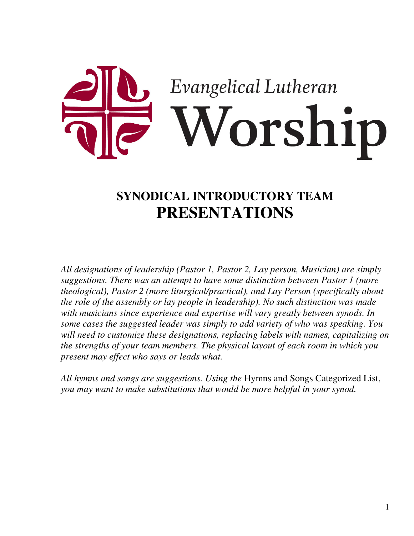

# **SYNODICAL INTRODUCTORY TEAM PRESENTATIONS**

*All designations of leadership (Pastor 1, Pastor 2, Lay person, Musician) are simply suggestions. There was an attempt to have some distinction between Pastor 1 (more theological), Pastor 2 (more liturgical/practical), and Lay Person (specifically about the role of the assembly or lay people in leadership). No such distinction was made with musicians since experience and expertise will vary greatly between synods. In some cases the suggested leader was simply to add variety of who was speaking. You will need to customize these designations, replacing labels with names, capitalizing on the strengths of your team members. The physical layout of each room in which you present may effect who says or leads what.*

*All hymns and songs are suggestions. Using the* Hymns and Songs Categorized List, *you may want to make substitutions that would be more helpful in your synod.*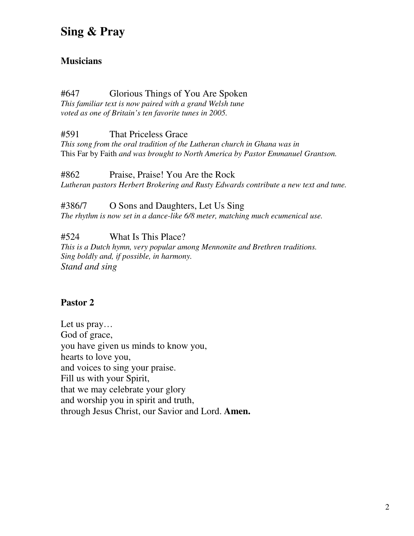#### **Musicians**

#### #647 Glorious Things of You Are Spoken

*This familiar text is now paired with a grand Welsh tune voted as one of Britain's ten favorite tunes in 2005.*

#591 That Priceless Grace

*This song from the oral tradition of the Lutheran church in Ghana was in* This Far by Faith *and was brought to North America by Pastor Emmanuel Grantson.*

#862 Praise, Praise! You Are the Rock *Lutheran pastors Herbert Brokering and Rusty Edwards contribute a new text and tune.*

#### #386/7 O Sons and Daughters, Let Us Sing

*The rhythm is now set in a dance-like 6/8 meter, matching much ecumenical use.*

#524 What Is This Place?

*This is a Dutch hymn, very popular among Mennonite and Brethren traditions. Sing boldly and, if possible, in harmony. Stand and sing*

## **Pastor 2**

Let us pray… God of grace, you have given us minds to know you, hearts to love you, and voices to sing your praise. Fill us with your Spirit, that we may celebrate your glory and worship you in spirit and truth, through Jesus Christ, our Savior and Lord. **Amen.**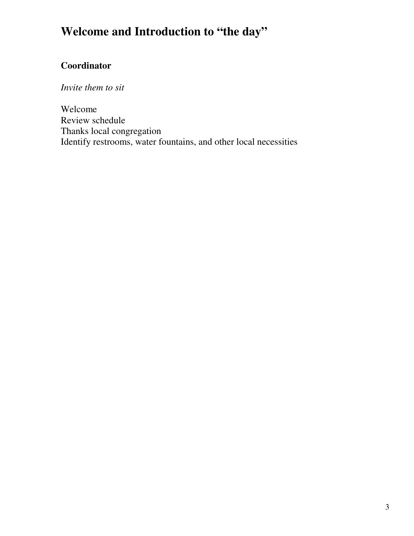# **Welcome and Introduction to "the day"**

## **Coordinator**

*Invite them to sit*

Welcome Review schedule Thanks local congregation Identify restrooms, water fountains, and other local necessities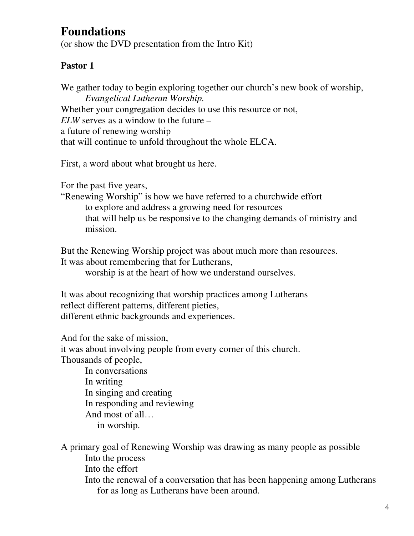## **Foundations**

(or show the DVD presentation from the Intro Kit)

## **Pastor 1**

We gather today to begin exploring together our church's new book of worship, *Evangelical Lutheran Worship.* Whether your congregation decides to use this resource or not, *ELW* serves as a window to the future – a future of renewing worship that will continue to unfold throughout the whole ELCA.

First, a word about what brought us here.

For the past five years,

"Renewing Worship" is how we have referred to a churchwide effort to explore and address a growing need for resources that will help us be responsive to the changing demands of ministry and mission.

But the Renewing Worship project was about much more than resources. It was about remembering that for Lutherans,

worship is at the heart of how we understand ourselves.

It was about recognizing that worship practices among Lutherans reflect different patterns, different pieties, different ethnic backgrounds and experiences.

And for the sake of mission,

it was about involving people from every corner of this church. Thousands of people,

> In conversations In writing In singing and creating In responding and reviewing And most of all… in worship.

A primary goal of Renewing Worship was drawing as many people as possible Into the process Into the effort Into the renewal of a conversation that has been happening among Lutherans for as long as Lutherans have been around.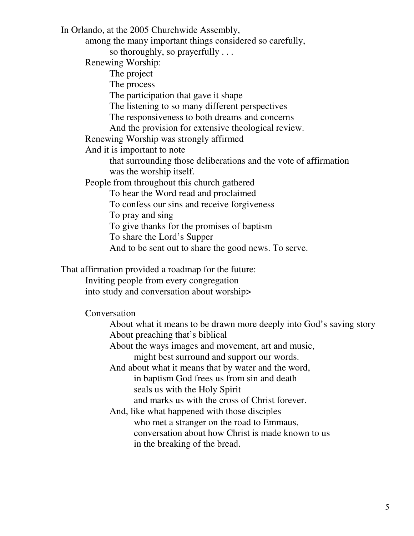In Orlando, at the 2005 Churchwide Assembly, among the many important things considered so carefully, so thoroughly, so prayerfully . . . Renewing Worship: The project The process The participation that gave it shape The listening to so many different perspectives The responsiveness to both dreams and concerns And the provision for extensive theological review. Renewing Worship was strongly affirmed And it is important to note that surrounding those deliberations and the vote of affirmation was the worship itself. People from throughout this church gathered To hear the Word read and proclaimed To confess our sins and receive forgiveness To pray and sing To give thanks for the promises of baptism To share the Lord's Supper And to be sent out to share the good news. To serve.

That affirmation provided a roadmap for the future:

Inviting people from every congregation into study and conversation about worship>

Conversation

About what it means to be drawn more deeply into God's saving story About preaching that's biblical

About the ways images and movement, art and music, might best surround and support our words.

And about what it means that by water and the word, in baptism God frees us from sin and death seals us with the Holy Spirit

and marks us with the cross of Christ forever.

And, like what happened with those disciples who met a stranger on the road to Emmaus, conversation about how Christ is made known to us in the breaking of the bread.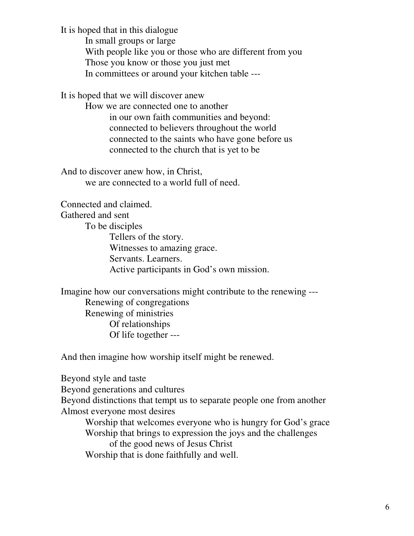It is hoped that in this dialogue

In small groups or large With people like you or those who are different from you Those you know or those you just met In committees or around your kitchen table ---

It is hoped that we will discover anew

How we are connected one to another in our own faith communities and beyond: connected to believers throughout the world connected to the saints who have gone before us connected to the church that is yet to be

And to discover anew how, in Christ, we are connected to a world full of need.

Connected and claimed.

Gathered and sent

To be disciples Tellers of the story. Witnesses to amazing grace. Servants. Learners. Active participants in God's own mission.

Imagine how our conversations might contribute to the renewing --- Renewing of congregations Renewing of ministries Of relationships Of life together ---

And then imagine how worship itself might be renewed.

Beyond style and taste

Beyond generations and cultures

Beyond distinctions that tempt us to separate people one from another Almost everyone most desires

Worship that welcomes everyone who is hungry for God's grace Worship that brings to expression the joys and the challenges of the good news of Jesus Christ Worship that is done faithfully and well.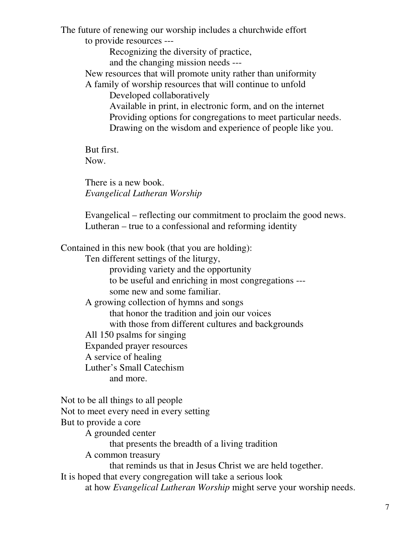The future of renewing our worship includes a churchwide effort to provide resources ---

> Recognizing the diversity of practice, and the changing mission needs ---

New resources that will promote unity rather than uniformity A family of worship resources that will continue to unfold

Developed collaboratively

Available in print, in electronic form, and on the internet Providing options for congregations to meet particular needs. Drawing on the wisdom and experience of people like you.

But first. Now.

There is a new book. *Evangelical Lutheran Worship*

Evangelical – reflecting our commitment to proclaim the good news. Lutheran – true to a confessional and reforming identity

Contained in this new book (that you are holding):

Ten different settings of the liturgy,

providing variety and the opportunity

to be useful and enriching in most congregations -- some new and some familiar.

A growing collection of hymns and songs that honor the tradition and join our voices with those from different cultures and backgrounds All 150 psalms for singing Expanded prayer resources A service of healing Luther's Small Catechism

and more.

Not to be all things to all people Not to meet every need in every setting But to provide a core A grounded center that presents the breadth of a living tradition A common treasury that reminds us that in Jesus Christ we are held together. It is hoped that every congregation will take a serious look at how *Evangelical Lutheran Worship* might serve your worship needs.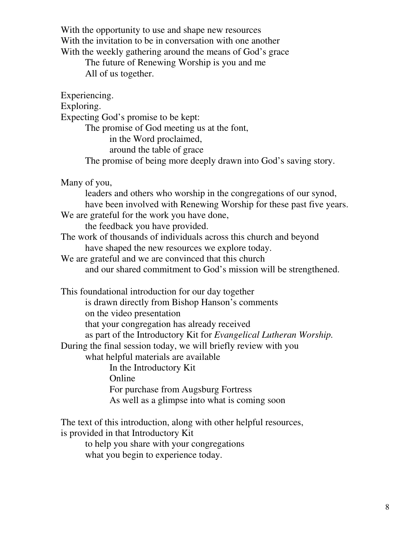With the opportunity to use and shape new resources With the invitation to be in conversation with one another With the weekly gathering around the means of God's grace

> The future of Renewing Worship is you and me All of us together.

Experiencing.

Exploring.

Expecting God's promise to be kept:

The promise of God meeting us at the font,

in the Word proclaimed,

around the table of grace

The promise of being more deeply drawn into God's saving story.

Many of you,

leaders and others who worship in the congregations of our synod, have been involved with Renewing Worship for these past five years.

We are grateful for the work you have done,

the feedback you have provided.

The work of thousands of individuals across this church and beyond have shaped the new resources we explore today.

We are grateful and we are convinced that this church and our shared commitment to God's mission will be strengthened.

This foundational introduction for our day together is drawn directly from Bishop Hanson's comments on the video presentation that your congregation has already received as part of the Introductory Kit for *Evangelical Lutheran Worship.* During the final session today, we will briefly review with you what helpful materials are available In the Introductory Kit Online For purchase from Augsburg Fortress As well as a glimpse into what is coming soon

The text of this introduction, along with other helpful resources, is provided in that Introductory Kit

to help you share with your congregations what you begin to experience today.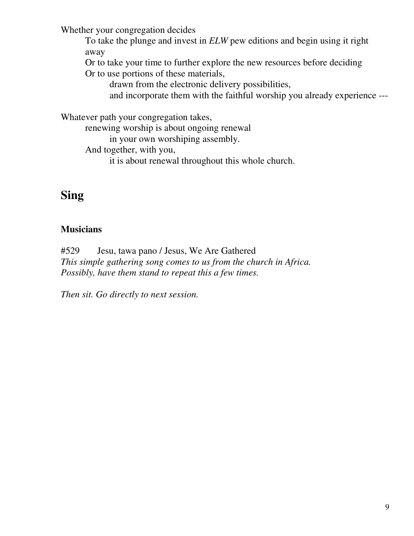Whether your congregation decides

To take the plunge and invest in *ELW* pew editions and begin using it right away

Or to take your time to further explore the new resources before deciding

Or to use portions of these materials,

drawn from the electronic delivery possibilities,

and incorporate them with the faithful worship you already experience ---

Whatever path your congregation takes,

renewing worship is about ongoing renewal

in your own worshiping assembly.

And together, with you,

it is about renewal throughout this whole church.

## **Sing**

## **Musicians**

#529 Jesu, tawa pano / Jesus, We Are Gathered *This simple gathering song comes to us from the church in Africa. Possibly, have them stand to repeat this a few times.*

*Then sit. Go directly to next session.*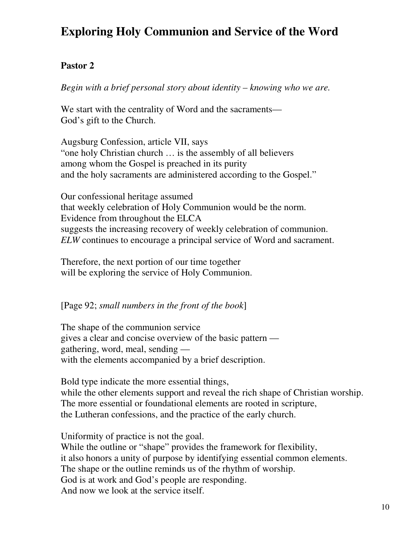# **Exploring Holy Communion and Service of the Word**

#### **Pastor 2**

*Begin with a brief personal story about identity – knowing who we are.*

We start with the centrality of Word and the sacraments— God's gift to the Church.

Augsburg Confession, article VII, says "one holy Christian church … is the assembly of all believers among whom the Gospel is preached in its purity and the holy sacraments are administered according to the Gospel."

Our confessional heritage assumed that weekly celebration of Holy Communion would be the norm. Evidence from throughout the ELCA suggests the increasing recovery of weekly celebration of communion. *ELW* continues to encourage a principal service of Word and sacrament.

Therefore, the next portion of our time together will be exploring the service of Holy Communion.

[Page 92; *small numbers in the front of the book*]

The shape of the communion service gives a clear and concise overview of the basic pattern gathering, word, meal, sending with the elements accompanied by a brief description.

Bold type indicate the more essential things, while the other elements support and reveal the rich shape of Christian worship. The more essential or foundational elements are rooted in scripture, the Lutheran confessions, and the practice of the early church.

Uniformity of practice is not the goal.

While the outline or "shape" provides the framework for flexibility, it also honors a unity of purpose by identifying essential common elements. The shape or the outline reminds us of the rhythm of worship. God is at work and God's people are responding. And now we look at the service itself.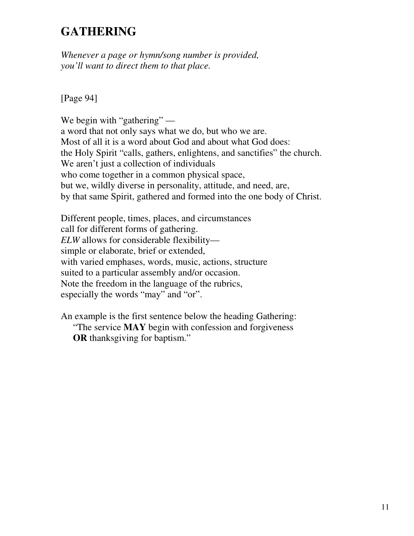# **GATHERING**

*Whenever a page or hymn/song number is provided, you'll want to direct them to that place.*

[Page 94]

We begin with "gathering" a word that not only says what we do, but who we are. Most of all it is a word about God and about what God does: the Holy Spirit "calls, gathers, enlightens, and sanctifies" the church. We aren't just a collection of individuals who come together in a common physical space, but we, wildly diverse in personality, attitude, and need, are, by that same Spirit, gathered and formed into the one body of Christ.

Different people, times, places, and circumstances call for different forms of gathering. *ELW* allows for considerable flexibility simple or elaborate, brief or extended, with varied emphases, words, music, actions, structure suited to a particular assembly and/or occasion. Note the freedom in the language of the rubrics, especially the words "may" and "or".

An example is the first sentence below the heading Gathering: "The service **MAY** begin with confession and forgiveness **OR** thanksgiving for baptism."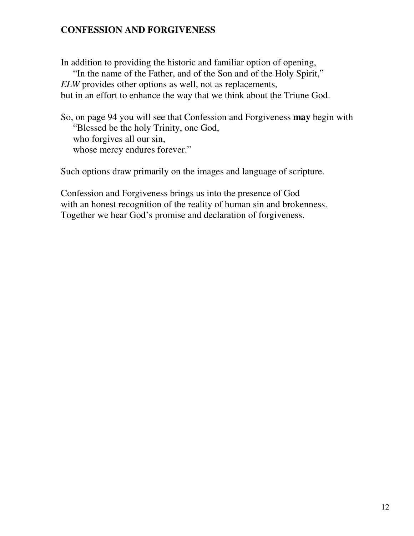#### **CONFESSION AND FORGIVENESS**

In addition to providing the historic and familiar option of opening,

"In the name of the Father, and of the Son and of the Holy Spirit," *ELW* provides other options as well, not as replacements, but in an effort to enhance the way that we think about the Triune God.

So, on page 94 you will see that Confession and Forgiveness **may** begin with "Blessed be the holy Trinity, one God, who forgives all our sin, whose mercy endures forever."

Such options draw primarily on the images and language of scripture.

Confession and Forgiveness brings us into the presence of God with an honest recognition of the reality of human sin and brokenness. Together we hear God's promise and declaration of forgiveness.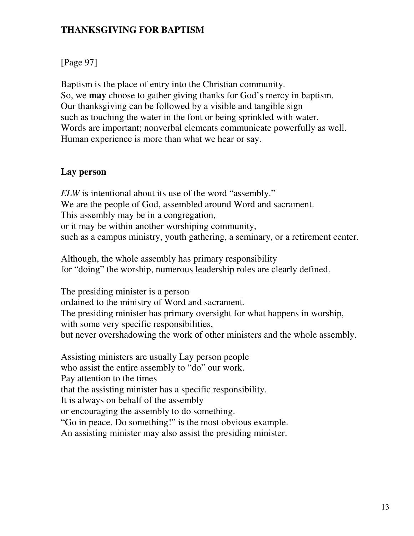### **THANKSGIVING FOR BAPTISM**

## [Page 97]

Baptism is the place of entry into the Christian community. So, we **may** choose to gather giving thanks for God's mercy in baptism. Our thanksgiving can be followed by a visible and tangible sign such as touching the water in the font or being sprinkled with water. Words are important; nonverbal elements communicate powerfully as well. Human experience is more than what we hear or say.

#### **Lay person**

*ELW* is intentional about its use of the word "assembly." We are the people of God, assembled around Word and sacrament. This assembly may be in a congregation, or it may be within another worshiping community, such as a campus ministry, youth gathering, a seminary, or a retirement center.

Although, the whole assembly has primary responsibility for "doing" the worship, numerous leadership roles are clearly defined.

The presiding minister is a person ordained to the ministry of Word and sacrament. The presiding minister has primary oversight for what happens in worship, with some very specific responsibilities, but never overshadowing the work of other ministers and the whole assembly.

Assisting ministers are usually Lay person people who assist the entire assembly to "do" our work. Pay attention to the times that the assisting minister has a specific responsibility. It is always on behalf of the assembly or encouraging the assembly to do something. "Go in peace. Do something!" is the most obvious example. An assisting minister may also assist the presiding minister.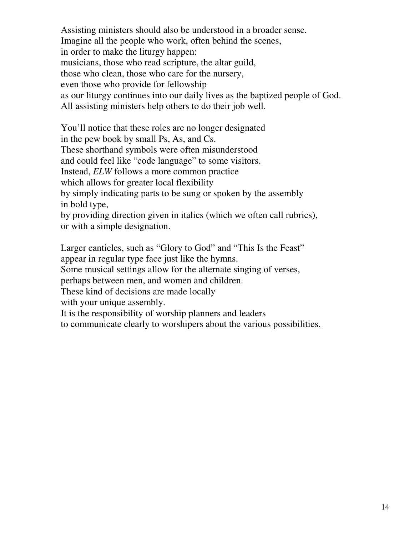Assisting ministers should also be understood in a broader sense. Imagine all the people who work, often behind the scenes, in order to make the liturgy happen: musicians, those who read scripture, the altar guild, those who clean, those who care for the nursery, even those who provide for fellowship as our liturgy continues into our daily lives as the baptized people of God. All assisting ministers help others to do their job well.

You'll notice that these roles are no longer designated in the pew book by small Ps, As, and Cs. These shorthand symbols were often misunderstood and could feel like "code language" to some visitors. Instead, *ELW* follows a more common practice which allows for greater local flexibility by simply indicating parts to be sung or spoken by the assembly in bold type, by providing direction given in italics (which we often call rubrics),

or with a simple designation.

Larger canticles, such as "Glory to God" and "This Is the Feast" appear in regular type face just like the hymns.

Some musical settings allow for the alternate singing of verses,

perhaps between men, and women and children.

These kind of decisions are made locally

with your unique assembly.

It is the responsibility of worship planners and leaders

to communicate clearly to worshipers about the various possibilities.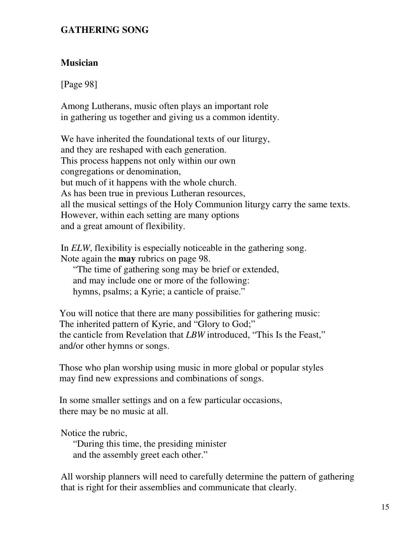#### **GATHERING SONG**

#### **Musician**

[Page 98]

Among Lutherans, music often plays an important role in gathering us together and giving us a common identity.

We have inherited the foundational texts of our liturgy, and they are reshaped with each generation. This process happens not only within our own congregations or denomination, but much of it happens with the whole church. As has been true in previous Lutheran resources, all the musical settings of the Holy Communion liturgy carry the same texts. However, within each setting are many options and a great amount of flexibility.

In *ELW*, flexibility is especially noticeable in the gathering song. Note again the **may** rubrics on page 98.

"The time of gathering song may be brief or extended, and may include one or more of the following: hymns, psalms; a Kyrie; a canticle of praise."

You will notice that there are many possibilities for gathering music: The inherited pattern of Kyrie, and "Glory to God;" the canticle from Revelation that *LBW* introduced, "This Is the Feast," and/or other hymns or songs.

Those who plan worship using music in more global or popular styles may find new expressions and combinations of songs.

In some smaller settings and on a few particular occasions, there may be no music at all.

Notice the rubric,

"During this time, the presiding minister and the assembly greet each other."

All worship planners will need to carefully determine the pattern of gathering that is right for their assemblies and communicate that clearly.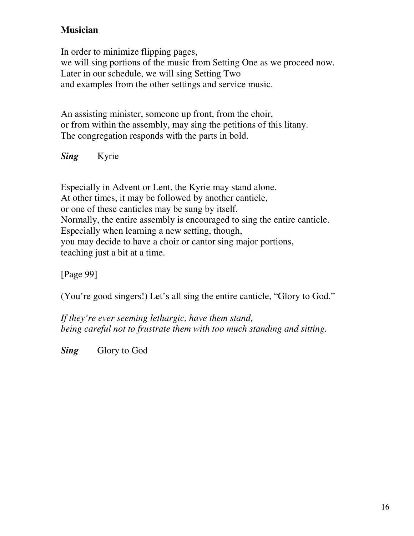## **Musician**

In order to minimize flipping pages, we will sing portions of the music from Setting One as we proceed now. Later in our schedule, we will sing Setting Two and examples from the other settings and service music.

An assisting minister, someone up front, from the choir, or from within the assembly, may sing the petitions of this litany. The congregation responds with the parts in bold.

*Sing* Kyrie

Especially in Advent or Lent, the Kyrie may stand alone. At other times, it may be followed by another canticle, or one of these canticles may be sung by itself. Normally, the entire assembly is encouraged to sing the entire canticle. Especially when learning a new setting, though, you may decide to have a choir or cantor sing major portions, teaching just a bit at a time.

[Page 99]

(You're good singers!) Let's all sing the entire canticle, "Glory to God."

*If they're ever seeming lethargic, have them stand, being careful not to frustrate them with too much standing and sitting.*

**Sing** Glory to God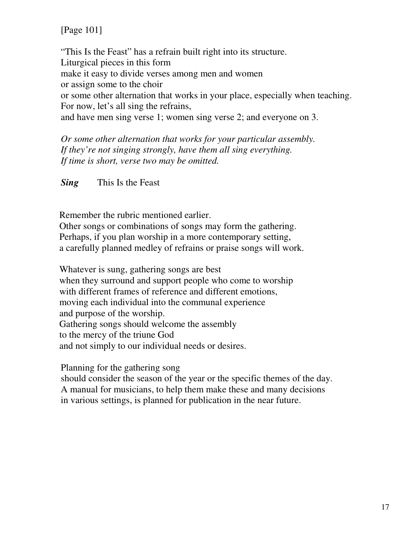[Page 101]

"This Is the Feast" has a refrain built right into its structure. Liturgical pieces in this form make it easy to divide verses among men and women or assign some to the choir or some other alternation that works in your place, especially when teaching. For now, let's all sing the refrains, and have men sing verse 1; women sing verse 2; and everyone on 3.

*Or some other alternation that works for your particular assembly. If they're not singing strongly, have them all sing everything. If time is short, verse two may be omitted.*

*Sing* This Is the Feast

Remember the rubric mentioned earlier.

Other songs or combinations of songs may form the gathering. Perhaps, if you plan worship in a more contemporary setting, a carefully planned medley of refrains or praise songs will work.

Whatever is sung, gathering songs are best when they surround and support people who come to worship with different frames of reference and different emotions, moving each individual into the communal experience and purpose of the worship. Gathering songs should welcome the assembly to the mercy of the triune God and not simply to our individual needs or desires.

Planning for the gathering song

should consider the season of the year or the specific themes of the day. A manual for musicians, to help them make these and many decisions in various settings, is planned for publication in the near future.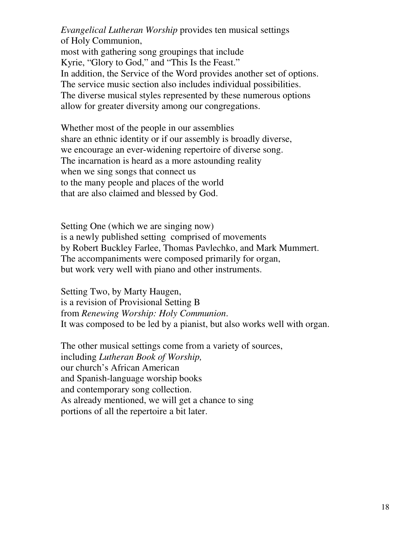*Evangelical Lutheran Worship* provides ten musical settings of Holy Communion, most with gathering song groupings that include Kyrie, "Glory to God," and "This Is the Feast." In addition, the Service of the Word provides another set of options. The service music section also includes individual possibilities.

The diverse musical styles represented by these numerous options allow for greater diversity among our congregations.

Whether most of the people in our assemblies share an ethnic identity or if our assembly is broadly diverse, we encourage an ever-widening repertoire of diverse song. The incarnation is heard as a more astounding reality when we sing songs that connect us to the many people and places of the world that are also claimed and blessed by God.

Setting One (which we are singing now) is a newly published setting comprised of movements by Robert Buckley Farlee, Thomas Pavlechko, and Mark Mummert. The accompaniments were composed primarily for organ, but work very well with piano and other instruments.

Setting Two, by Marty Haugen, is a revision of Provisional Setting B from *Renewing Worship: Holy Communion*. It was composed to be led by a pianist, but also works well with organ.

The other musical settings come from a variety of sources, including *Lutheran Book of Worship,* our church's African American and Spanish-language worship books and contemporary song collection. As already mentioned, we will get a chance to sing portions of all the repertoire a bit later.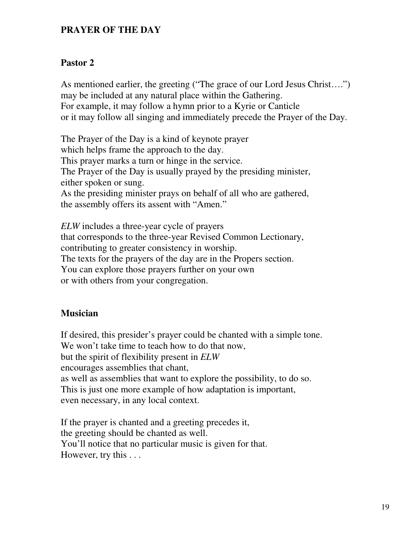#### **PRAYER OF THE DAY**

#### **Pastor 2**

As mentioned earlier, the greeting ("The grace of our Lord Jesus Christ….") may be included at any natural place within the Gathering. For example, it may follow a hymn prior to a Kyrie or Canticle or it may follow all singing and immediately precede the Prayer of the Day.

The Prayer of the Day is a kind of keynote prayer which helps frame the approach to the day. This prayer marks a turn or hinge in the service. The Prayer of the Day is usually prayed by the presiding minister, either spoken or sung. As the presiding minister prays on behalf of all who are gathered, the assembly offers its assent with "Amen."

*ELW* includes a three-year cycle of prayers that corresponds to the three-year Revised Common Lectionary, contributing to greater consistency in worship. The texts for the prayers of the day are in the Propers section. You can explore those prayers further on your own or with others from your congregation.

#### **Musician**

If desired, this presider's prayer could be chanted with a simple tone. We won't take time to teach how to do that now, but the spirit of flexibility present in *ELW* encourages assemblies that chant, as well as assemblies that want to explore the possibility, to do so. This is just one more example of how adaptation is important, even necessary, in any local context.

If the prayer is chanted and a greeting precedes it, the greeting should be chanted as well. You'll notice that no particular music is given for that. However, try this . . .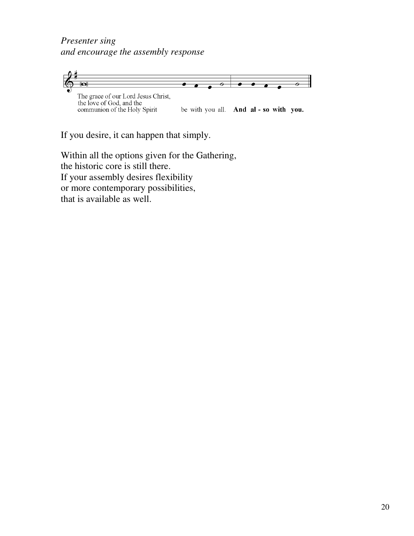*Presenter sing and encourage the assembly response*



If you desire, it can happen that simply.

Within all the options given for the Gathering, the historic core is still there. If your assembly desires flexibility or more contemporary possibilities, that is available as well.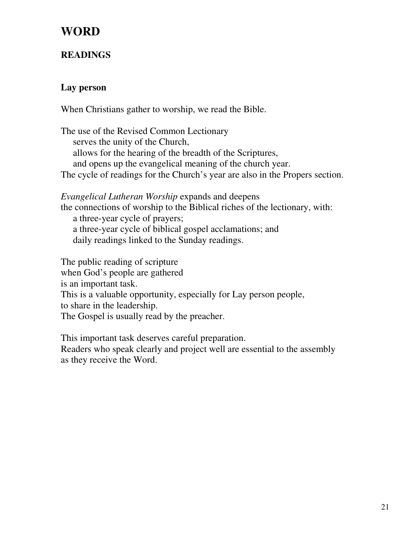## **WORD**

## **READINGS**

## **Lay person**

When Christians gather to worship, we read the Bible.

The use of the Revised Common Lectionary serves the unity of the Church, allows for the hearing of the breadth of the Scriptures, and opens up the evangelical meaning of the church year. The cycle of readings for the Church's year are also in the Propers section.

*Evangelical Lutheran Worship* expands and deepens the connections of worship to the Biblical riches of the lectionary, with: a three-year cycle of prayers; a three-year cycle of biblical gospel acclamations; and daily readings linked to the Sunday readings.

The public reading of scripture when God's people are gathered is an important task. This is a valuable opportunity, especially for Lay person people, to share in the leadership. The Gospel is usually read by the preacher.

This important task deserves careful preparation. Readers who speak clearly and project well are essential to the assembly as they receive the Word.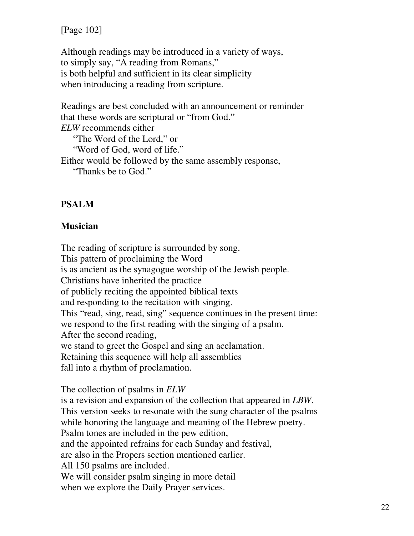[Page 102]

Although readings may be introduced in a variety of ways, to simply say, "A reading from Romans," is both helpful and sufficient in its clear simplicity when introducing a reading from scripture.

Readings are best concluded with an announcement or reminder that these words are scriptural or "from God." *ELW* recommends either "The Word of the Lord," or "Word of God, word of life." Either would be followed by the same assembly response,

"Thanks be to God."

#### **PSALM**

#### **Musician**

The reading of scripture is surrounded by song. This pattern of proclaiming the Word is as ancient as the synagogue worship of the Jewish people. Christians have inherited the practice of publicly reciting the appointed biblical texts and responding to the recitation with singing. This "read, sing, read, sing" sequence continues in the present time: we respond to the first reading with the singing of a psalm. After the second reading, we stand to greet the Gospel and sing an acclamation. Retaining this sequence will help all assemblies fall into a rhythm of proclamation.

The collection of psalms in *ELW*

is a revision and expansion of the collection that appeared in *LBW*. This version seeks to resonate with the sung character of the psalms while honoring the language and meaning of the Hebrew poetry. Psalm tones are included in the pew edition, and the appointed refrains for each Sunday and festival, are also in the Propers section mentioned earlier. All 150 psalms are included. We will consider psalm singing in more detail when we explore the Daily Prayer services.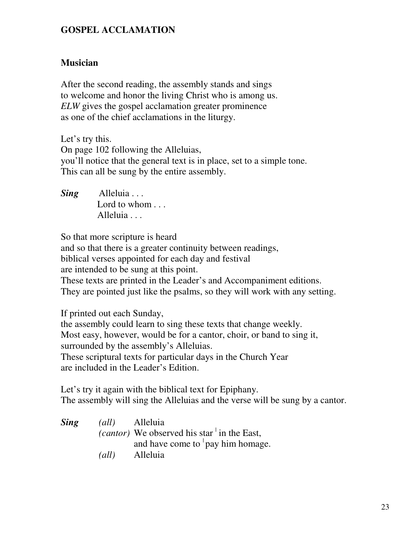#### **GOSPEL ACCLAMATION**

#### **Musician**

After the second reading, the assembly stands and sings to welcome and honor the living Christ who is among us. *ELW* gives the gospel acclamation greater prominence as one of the chief acclamations in the liturgy.

Let's try this. On page 102 following the Alleluias, you'll notice that the general text is in place, set to a simple tone. This can all be sung by the entire assembly.

*Sing* Alleluia . . . Lord to whom . . . Alleluia . . .

So that more scripture is heard and so that there is a greater continuity between readings, biblical verses appointed for each day and festival are intended to be sung at this point. These texts are printed in the Leader's and Accompaniment editions. They are pointed just like the psalms, so they will work with any setting.

If printed out each Sunday, the assembly could learn to sing these texts that change weekly. Most easy, however, would be for a cantor, choir, or band to sing it, surrounded by the assembly's Alleluias. These scriptural texts for particular days in the Church Year are included in the Leader's Edition.

Let's try it again with the biblical text for Epiphany. The assembly will sing the Alleluias and the verse will be sung by a cantor.

*Sing (all)* Alleluia (*cantor*) We observed his star in the East, and have come to  $\frac{1}{2}$  pay him homage. *(all)* Alleluia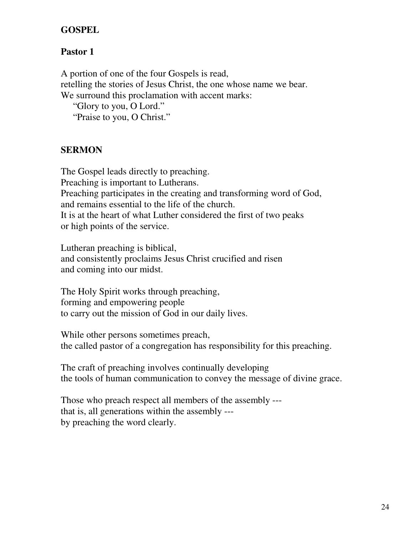#### **GOSPEL**

## **Pastor 1**

A portion of one of the four Gospels is read, retelling the stories of Jesus Christ, the one whose name we bear. We surround this proclamation with accent marks: "Glory to you, O Lord." "Praise to you, O Christ."

## **SERMON**

The Gospel leads directly to preaching. Preaching is important to Lutherans. Preaching participates in the creating and transforming word of God, and remains essential to the life of the church. It is at the heart of what Luther considered the first of two peaks or high points of the service.

Lutheran preaching is biblical, and consistently proclaims Jesus Christ crucified and risen and coming into our midst.

The Holy Spirit works through preaching, forming and empowering people to carry out the mission of God in our daily lives.

While other persons sometimes preach, the called pastor of a congregation has responsibility for this preaching.

The craft of preaching involves continually developing the tools of human communication to convey the message of divine grace.

Those who preach respect all members of the assembly -- that is, all generations within the assembly -- by preaching the word clearly.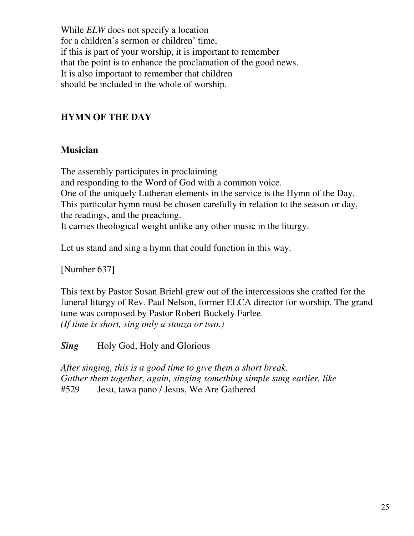While *ELW* does not specify a location for a children's sermon or children' time, if this is part of your worship, it is important to remember that the point is to enhance the proclamation of the good news. It is also important to remember that children should be included in the whole of worship.

## **HYMN OF THE DAY**

### **Musician**

The assembly participates in proclaiming and responding to the Word of God with a common voice. One of the uniquely Lutheran elements in the service is the Hymn of the Day. This particular hymn must be chosen carefully in relation to the season or day, the readings, and the preaching. It carries theological weight unlike any other music in the liturgy.

Let us stand and sing a hymn that could function in this way.

[Number 637]

This text by Pastor Susan Briehl grew out of the intercessions she crafted for the funeral liturgy of Rev. Paul Nelson, former ELCA director for worship. The grand tune was composed by Pastor Robert Buckely Farlee. *(If time is short, sing only a stanza or two.)*

**Sing** Holy God, Holy and Glorious

*After singing, this is a good time to give them a short break. Gather them together, again, singing something simple sung earlier, like* #529 Jesu, tawa pano / Jesus, We Are Gathered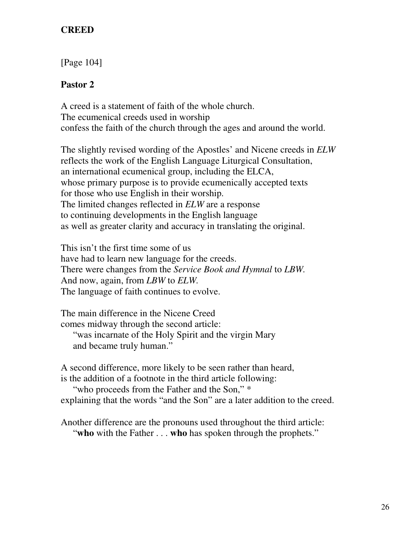#### **CREED**

[Page 104]

## **Pastor 2**

A creed is a statement of faith of the whole church. The ecumenical creeds used in worship confess the faith of the church through the ages and around the world.

The slightly revised wording of the Apostles' and Nicene creeds in *ELW* reflects the work of the English Language Liturgical Consultation, an international ecumenical group, including the ELCA, whose primary purpose is to provide ecumenically accepted texts for those who use English in their worship. The limited changes reflected in *ELW* are a response to continuing developments in the English language as well as greater clarity and accuracy in translating the original.

This isn't the first time some of us have had to learn new language for the creeds. There were changes from the *Service Book and Hymnal* to *LBW.* And now, again, from *LBW* to *ELW.* The language of faith continues to evolve.

The main difference in the Nicene Creed comes midway through the second article:

"was incarnate of the Holy Spirit and the virgin Mary and became truly human."

A second difference, more likely to be seen rather than heard,

is the addition of a footnote in the third article following:

"who proceeds from the Father and the Son,"  $*$ 

explaining that the words "and the Son" are a later addition to the creed.

Another difference are the pronouns used throughout the third article: "**who** with the Father . . . **who** has spoken through the prophets."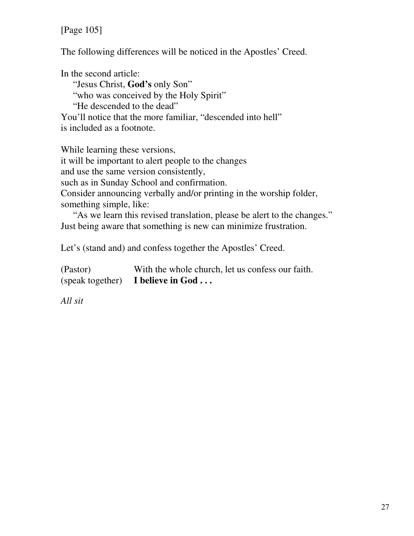[Page 105]

The following differences will be noticed in the Apostles' Creed.

In the second article: "Jesus Christ, **God's** only Son" "who was conceived by the Holy Spirit" "He descended to the dead" You'll notice that the more familiar, "descended into hell" is included as a footnote.

While learning these versions,

it will be important to alert people to the changes and use the same version consistently,

such as in Sunday School and confirmation.

Consider announcing verbally and/or printing in the worship folder, something simple, like:

"As we learn this revised translation, please be alert to the changes." Just being aware that something is new can minimize frustration.

Let's (stand and) and confess together the Apostles' Creed.

| (Pastor) | With the whole church, let us confess our faith. |
|----------|--------------------------------------------------|
|          | (speak together) I believe in $God \dots$        |

*All sit*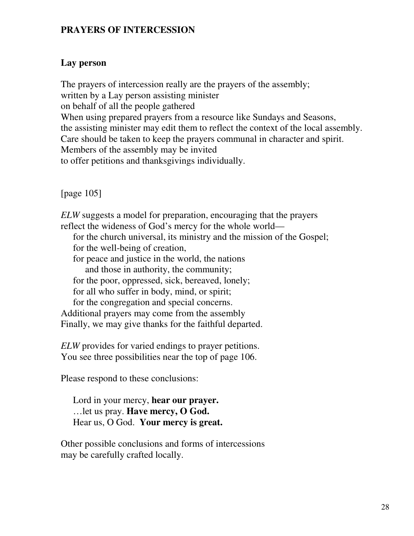#### **PRAYERS OF INTERCESSION**

#### **Lay person**

The prayers of intercession really are the prayers of the assembly; written by a Lay person assisting minister on behalf of all the people gathered When using prepared prayers from a resource like Sundays and Seasons, the assisting minister may edit them to reflect the context of the local assembly. Care should be taken to keep the prayers communal in character and spirit. Members of the assembly may be invited to offer petitions and thanksgivings individually.

[page 105]

*ELW* suggests a model for preparation, encouraging that the prayers reflect the wideness of God's mercy for the whole world for the church universal, its ministry and the mission of the Gospel; for the well-being of creation, for peace and justice in the world, the nations and those in authority, the community; for the poor, oppressed, sick, bereaved, lonely; for all who suffer in body, mind, or spirit; for the congregation and special concerns. Additional prayers may come from the assembly Finally, we may give thanks for the faithful departed.

*ELW* provides for varied endings to prayer petitions. You see three possibilities near the top of page 106.

Please respond to these conclusions:

Lord in your mercy, **hear our prayer.** …let us pray. **Have mercy, O God.** Hear us, O God. **Your mercy is great.**

Other possible conclusions and forms of intercessions may be carefully crafted locally.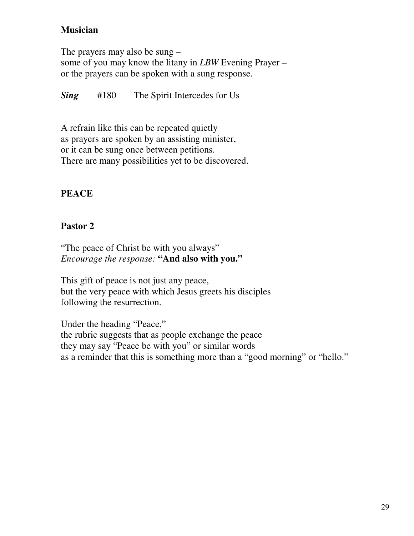## **Musician**

The prayers may also be sung – some of you may know the litany in *LBW* Evening Prayer – or the prayers can be spoken with a sung response.

*Sing* #180 The Spirit Intercedes for Us

A refrain like this can be repeated quietly as prayers are spoken by an assisting minister, or it can be sung once between petitions. There are many possibilities yet to be discovered.

## **PEACE**

## **Pastor 2**

"The peace of Christ be with you always" *Encourage the response:* **"And also with you."**

This gift of peace is not just any peace, but the very peace with which Jesus greets his disciples following the resurrection.

Under the heading "Peace," the rubric suggests that as people exchange the peace they may say "Peace be with you" or similar words as a reminder that this is something more than a "good morning" or "hello."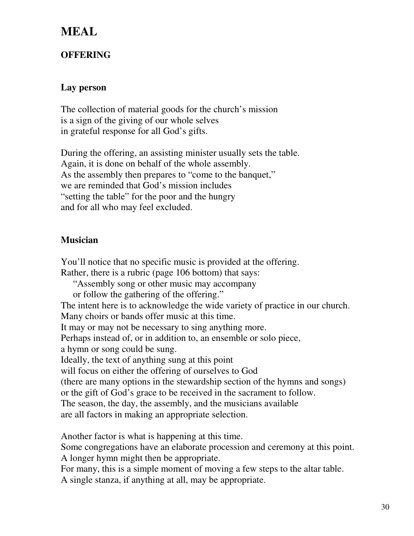## **MEAL**

## **OFFERING**

#### **Lay person**

The collection of material goods for the church's mission is a sign of the giving of our whole selves in grateful response for all God's gifts.

During the offering, an assisting minister usually sets the table. Again, it is done on behalf of the whole assembly. As the assembly then prepares to "come to the banquet," we are reminded that God's mission includes "setting the table" for the poor and the hungry and for all who may feel excluded.

#### **Musician**

You'll notice that no specific music is provided at the offering. Rather, there is a rubric (page 106 bottom) that says: "Assembly song or other music may accompany or follow the gathering of the offering." The intent here is to acknowledge the wide variety of practice in our church. Many choirs or bands offer music at this time. It may or may not be necessary to sing anything more. Perhaps instead of, or in addition to, an ensemble or solo piece, a hymn or song could be sung. Ideally, the text of anything sung at this point will focus on either the offering of ourselves to God (there are many options in the stewardship section of the hymns and songs) or the gift of God's grace to be received in the sacrament to follow. The season, the day, the assembly, and the musicians available are all factors in making an appropriate selection.

Another factor is what is happening at this time.

Some congregations have an elaborate procession and ceremony at this point. A longer hymn might then be appropriate.

For many, this is a simple moment of moving a few steps to the altar table. A single stanza, if anything at all, may be appropriate.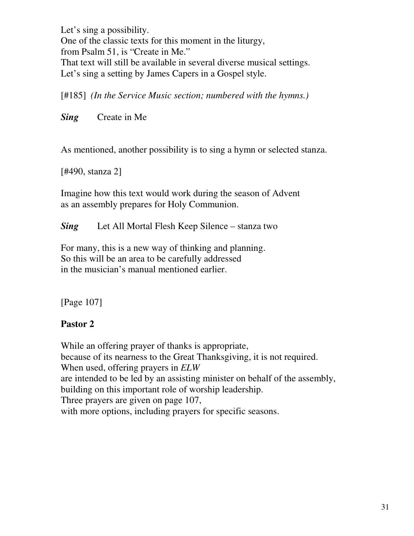Let's sing a possibility. One of the classic texts for this moment in the liturgy, from Psalm 51, is "Create in Me." That text will still be available in several diverse musical settings. Let's sing a setting by James Capers in a Gospel style.

[#185] *(In the Service Music section; numbered with the hymns.)*

*Sing* Create in Me

As mentioned, another possibility is to sing a hymn or selected stanza.

[#490, stanza 2]

Imagine how this text would work during the season of Advent as an assembly prepares for Holy Communion.

*Sing* Let All Mortal Flesh Keep Silence – stanza two

For many, this is a new way of thinking and planning. So this will be an area to be carefully addressed in the musician's manual mentioned earlier.

[Page 107]

## **Pastor 2**

While an offering prayer of thanks is appropriate, because of its nearness to the Great Thanksgiving, it is not required. When used, offering prayers in *ELW* are intended to be led by an assisting minister on behalf of the assembly, building on this important role of worship leadership. Three prayers are given on page 107, with more options, including prayers for specific seasons.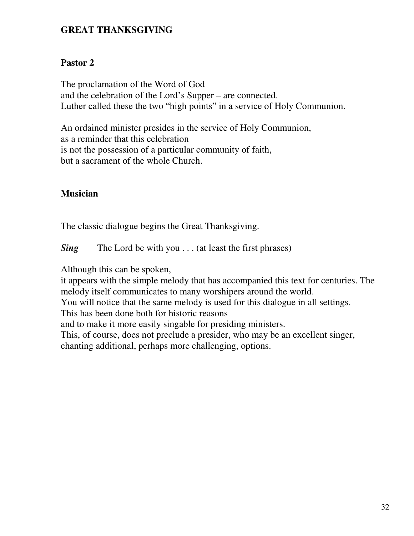#### **GREAT THANKSGIVING**

#### **Pastor 2**

The proclamation of the Word of God and the celebration of the Lord's Supper – are connected. Luther called these the two "high points" in a service of Holy Communion.

An ordained minister presides in the service of Holy Communion, as a reminder that this celebration is not the possession of a particular community of faith, but a sacrament of the whole Church.

#### **Musician**

The classic dialogue begins the Great Thanksgiving.

*Sing* The Lord be with you . . . (at least the first phrases)

Although this can be spoken,

it appears with the simple melody that has accompanied this text for centuries. The melody itself communicates to many worshipers around the world.

You will notice that the same melody is used for this dialogue in all settings.

This has been done both for historic reasons

and to make it more easily singable for presiding ministers.

This, of course, does not preclude a presider, who may be an excellent singer, chanting additional, perhaps more challenging, options.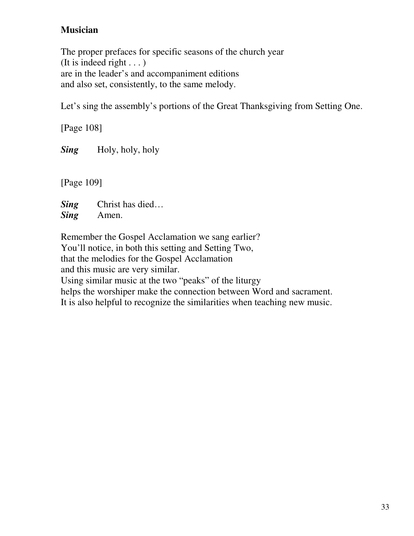## **Musician**

The proper prefaces for specific seasons of the church year (It is indeed right . . . ) are in the leader's and accompaniment editions and also set, consistently, to the same melody.

Let's sing the assembly's portions of the Great Thanksgiving from Setting One.

[Page 108] *Sing* Holy, holy, holy

[Page 109]

*Sing* Christ has died… *Sing* Amen.

Remember the Gospel Acclamation we sang earlier? You'll notice, in both this setting and Setting Two, that the melodies for the Gospel Acclamation and this music are very similar. Using similar music at the two "peaks" of the liturgy helps the worshiper make the connection between Word and sacrament.

It is also helpful to recognize the similarities when teaching new music.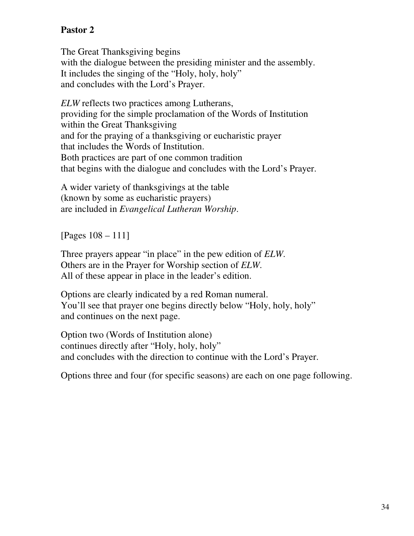## **Pastor 2**

The Great Thanksgiving begins with the dialogue between the presiding minister and the assembly. It includes the singing of the "Holy, holy, holy" and concludes with the Lord's Prayer.

*ELW* reflects two practices among Lutherans, providing for the simple proclamation of the Words of Institution within the Great Thanksgiving and for the praying of a thanksgiving or eucharistic prayer that includes the Words of Institution. Both practices are part of one common tradition that begins with the dialogue and concludes with the Lord's Prayer.

A wider variety of thanksgivings at the table (known by some as eucharistic prayers) are included in *Evangelical Lutheran Worship*.

[Pages 108 – 111]

Three prayers appear "in place" in the pew edition of *ELW*. Others are in the Prayer for Worship section of *ELW*. All of these appear in place in the leader's edition.

Options are clearly indicated by a red Roman numeral. You'll see that prayer one begins directly below "Holy, holy, holy" and continues on the next page.

Option two (Words of Institution alone) continues directly after "Holy, holy, holy" and concludes with the direction to continue with the Lord's Prayer.

Options three and four (for specific seasons) are each on one page following.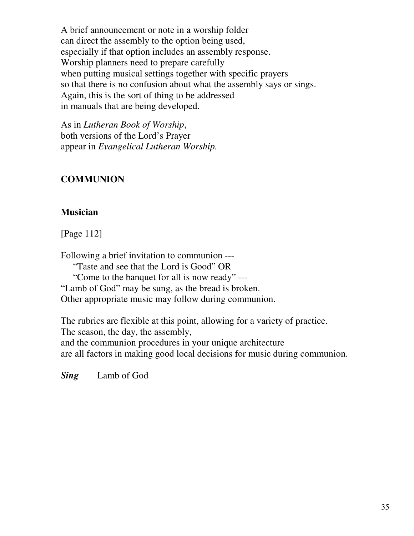A brief announcement or note in a worship folder can direct the assembly to the option being used, especially if that option includes an assembly response. Worship planners need to prepare carefully when putting musical settings together with specific prayers so that there is no confusion about what the assembly says or sings. Again, this is the sort of thing to be addressed in manuals that are being developed.

As in *Lutheran Book of Worship*, both versions of the Lord's Prayer appear in *Evangelical Lutheran Worship.*

## **COMMUNION**

#### **Musician**

[Page 112]

Following a brief invitation to communion --- "Taste and see that the Lord is Good" OR "Come to the banquet for all is now ready" --- "Lamb of God" may be sung, as the bread is broken. Other appropriate music may follow during communion.

The rubrics are flexible at this point, allowing for a variety of practice. The season, the day, the assembly, and the communion procedures in your unique architecture are all factors in making good local decisions for music during communion.

*Sing* Lamb of God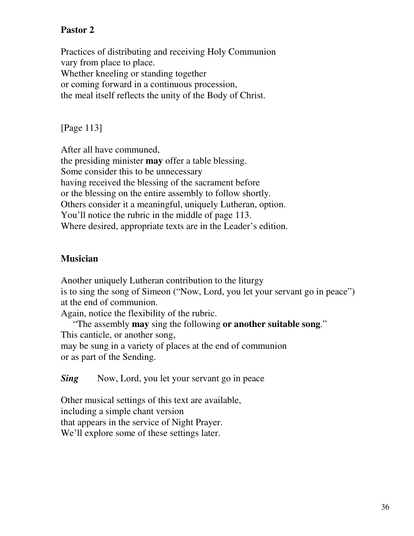## **Pastor 2**

Practices of distributing and receiving Holy Communion vary from place to place. Whether kneeling or standing together or coming forward in a continuous procession, the meal itself reflects the unity of the Body of Christ.

[Page 113]

After all have communed, the presiding minister **may** offer a table blessing. Some consider this to be unnecessary having received the blessing of the sacrament before or the blessing on the entire assembly to follow shortly. Others consider it a meaningful, uniquely Lutheran, option. You'll notice the rubric in the middle of page 113. Where desired, appropriate texts are in the Leader's edition.

#### **Musician**

Another uniquely Lutheran contribution to the liturgy is to sing the song of Simeon ("Now, Lord, you let your servant go in peace") at the end of communion.

Again, notice the flexibility of the rubric.

"The assembly **may** sing the following **or another suitable song**." This canticle, or another song, may be sung in a variety of places at the end of communion or as part of the Sending.

*Sing* Now, Lord, you let your servant go in peace

Other musical settings of this text are available, including a simple chant version that appears in the service of Night Prayer. We'll explore some of these settings later.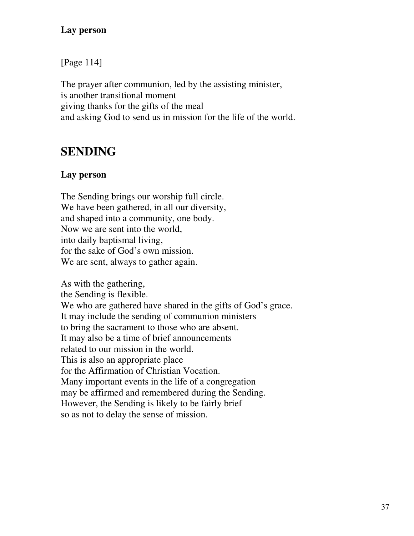## **Lay person**

[Page 114]

The prayer after communion, led by the assisting minister, is another transitional moment giving thanks for the gifts of the meal and asking God to send us in mission for the life of the world.

# **SENDING**

# **Lay person**

The Sending brings our worship full circle. We have been gathered, in all our diversity, and shaped into a community, one body. Now we are sent into the world, into daily baptismal living, for the sake of God's own mission. We are sent, always to gather again.

As with the gathering, the Sending is flexible. We who are gathered have shared in the gifts of God's grace. It may include the sending of communion ministers to bring the sacrament to those who are absent. It may also be a time of brief announcements related to our mission in the world. This is also an appropriate place for the Affirmation of Christian Vocation. Many important events in the life of a congregation may be affirmed and remembered during the Sending. However, the Sending is likely to be fairly brief so as not to delay the sense of mission.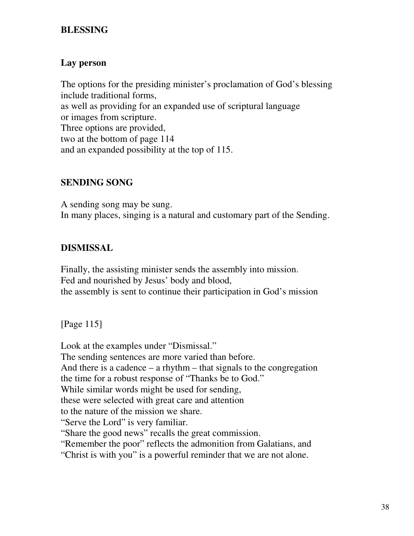### **BLESSING**

## **Lay person**

The options for the presiding minister's proclamation of God's blessing include traditional forms, as well as providing for an expanded use of scriptural language or images from scripture. Three options are provided, two at the bottom of page 114 and an expanded possibility at the top of 115.

## **SENDING SONG**

A sending song may be sung. In many places, singing is a natural and customary part of the Sending.

# **DISMISSAL**

Finally, the assisting minister sends the assembly into mission. Fed and nourished by Jesus' body and blood, the assembly is sent to continue their participation in God's mission

[Page 115]

Look at the examples under "Dismissal." The sending sentences are more varied than before. And there is a cadence  $-$  a rhythm  $-$  that signals to the congregation the time for a robust response of "Thanks be to God." While similar words might be used for sending, these were selected with great care and attention to the nature of the mission we share. "Serve the Lord" is very familiar. "Share the good news" recalls the great commission. "Remember the poor" reflects the admonition from Galatians, and "Christ is with you" is a powerful reminder that we are not alone.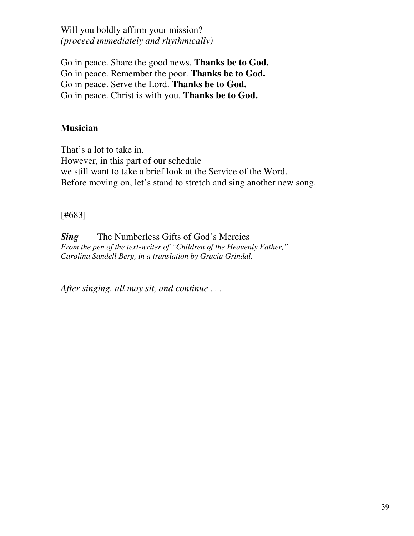Will you boldly affirm your mission? *(proceed immediately and rhythmically)*

Go in peace. Share the good news. **Thanks be to God.** Go in peace. Remember the poor. **Thanks be to God.** Go in peace. Serve the Lord. **Thanks be to God.** Go in peace. Christ is with you. **Thanks be to God.**

### **Musician**

That's a lot to take in. However, in this part of our schedule we still want to take a brief look at the Service of the Word. Before moving on, let's stand to stretch and sing another new song.

#### [#683]

*Sing* The Numberless Gifts of God's Mercies *From the pen of the text-writer of "Children of the Heavenly Father," Carolina Sandell Berg, in a translation by Gracia Grindal.*

*After singing, all may sit, and continue . . .*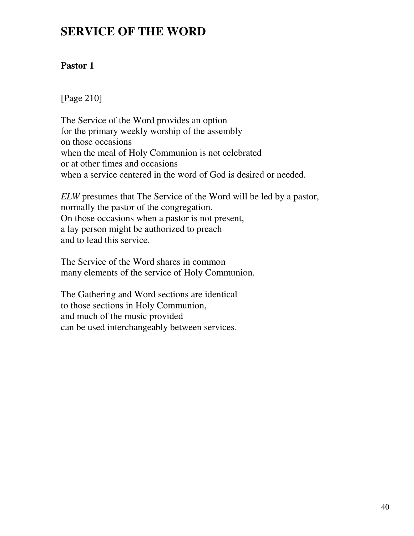# **SERVICE OF THE WORD**

# **Pastor 1**

[Page 210]

The Service of the Word provides an option for the primary weekly worship of the assembly on those occasions when the meal of Holy Communion is not celebrated or at other times and occasions when a service centered in the word of God is desired or needed.

*ELW* presumes that The Service of the Word will be led by a pastor, normally the pastor of the congregation. On those occasions when a pastor is not present, a lay person might be authorized to preach and to lead this service.

The Service of the Word shares in common many elements of the service of Holy Communion.

The Gathering and Word sections are identical to those sections in Holy Communion, and much of the music provided can be used interchangeably between services.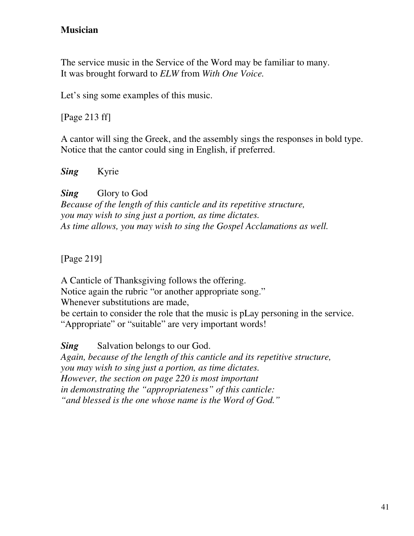## **Musician**

The service music in the Service of the Word may be familiar to many. It was brought forward to *ELW* from *With One Voice.*

Let's sing some examples of this music.

[Page 213 ff]

A cantor will sing the Greek, and the assembly sings the responses in bold type. Notice that the cantor could sing in English, if preferred.

*Sing* Kyrie

**Sing** Glory to God *Because of the length of this canticle and its repetitive structure, you may wish to sing just a portion, as time dictates. As time allows, you may wish to sing the Gospel Acclamations as well.*

[Page 219]

A Canticle of Thanksgiving follows the offering. Notice again the rubric "or another appropriate song." Whenever substitutions are made, be certain to consider the role that the music is pLay personing in the service. "Appropriate" or "suitable" are very important words!

**Sing** Salvation belongs to our God. *Again, because of the length of this canticle and its repetitive structure, you may wish to sing just a portion, as time dictates. However, the section on page 220 is most important in demonstrating the "appropriateness" of this canticle: "and blessed is the one whose name is the Word of God."*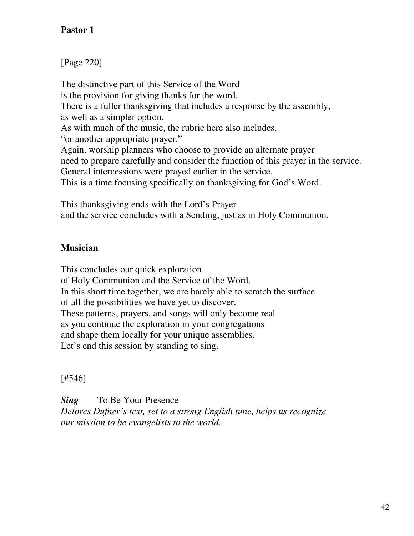# **Pastor 1**

[Page 220]

The distinctive part of this Service of the Word is the provision for giving thanks for the word. There is a fuller thanksgiving that includes a response by the assembly, as well as a simpler option. As with much of the music, the rubric here also includes, "or another appropriate prayer." Again, worship planners who choose to provide an alternate prayer need to prepare carefully and consider the function of this prayer in the service. General intercessions were prayed earlier in the service. This is a time focusing specifically on thanksgiving for God's Word.

This thanksgiving ends with the Lord's Prayer and the service concludes with a Sending, just as in Holy Communion.

## **Musician**

This concludes our quick exploration of Holy Communion and the Service of the Word. In this short time together, we are barely able to scratch the surface of all the possibilities we have yet to discover. These patterns, prayers, and songs will only become real as you continue the exploration in your congregations and shape them locally for your unique assemblies. Let's end this session by standing to sing.

[#546]

**Sing** To Be Your Presence *Delores Dufner's text, set to a strong English tune, helps us recognize our mission to be evangelists to the world.*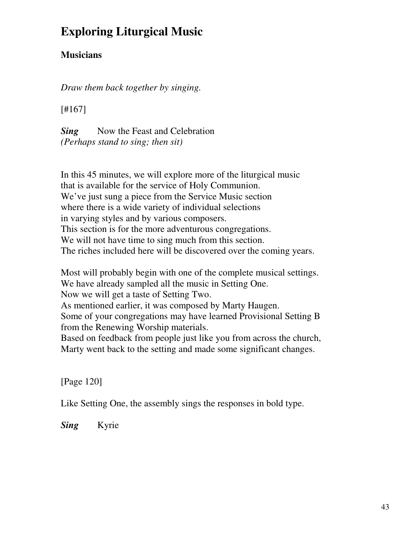# **Exploring Liturgical Music**

# **Musicians**

*Draw them back together by singing.*

[#167]

*Sing* Now the Feast and Celebration *(Perhaps stand to sing; then sit)*

In this 45 minutes, we will explore more of the liturgical music that is available for the service of Holy Communion. We've just sung a piece from the Service Music section where there is a wide variety of individual selections in varying styles and by various composers. This section is for the more adventurous congregations. We will not have time to sing much from this section. The riches included here will be discovered over the coming years.

Most will probably begin with one of the complete musical settings. We have already sampled all the music in Setting One. Now we will get a taste of Setting Two. As mentioned earlier, it was composed by Marty Haugen. Some of your congregations may have learned Provisional Setting B from the Renewing Worship materials. Based on feedback from people just like you from across the church, Marty went back to the setting and made some significant changes.

[Page 120]

Like Setting One, the assembly sings the responses in bold type.

*Sing* Kyrie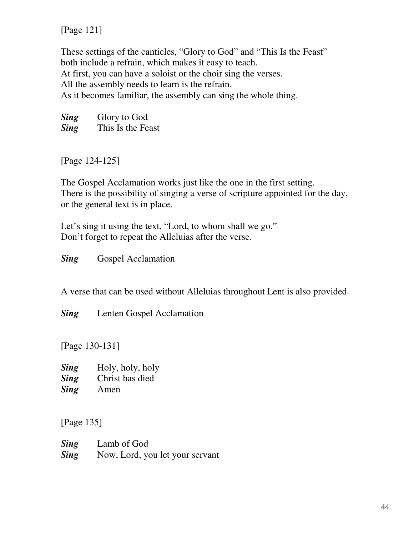[Page 121]

These settings of the canticles, "Glory to God" and "This Is the Feast" both include a refrain, which makes it easy to teach. At first, you can have a soloist or the choir sing the verses. All the assembly needs to learn is the refrain. As it becomes familiar, the assembly can sing the whole thing.

**Sing** Glory to God *Sing* This Is the Feast

[Page 124-125]

The Gospel Acclamation works just like the one in the first setting. There is the possibility of singing a verse of scripture appointed for the day, or the general text is in place.

Let's sing it using the text, "Lord, to whom shall we go." Don't forget to repeat the Alleluias after the verse.

**Sing** Gospel Acclamation

A verse that can be used without Alleluias throughout Lent is also provided.

*Sing* Lenten Gospel Acclamation

[Page 130-131]

*Sing* Holy, holy, holy *Sing* Christ has died *Sing* Amen

[Page 135]

| <b>Sing</b> | Lamb of God                     |
|-------------|---------------------------------|
| <b>Sing</b> | Now, Lord, you let your servant |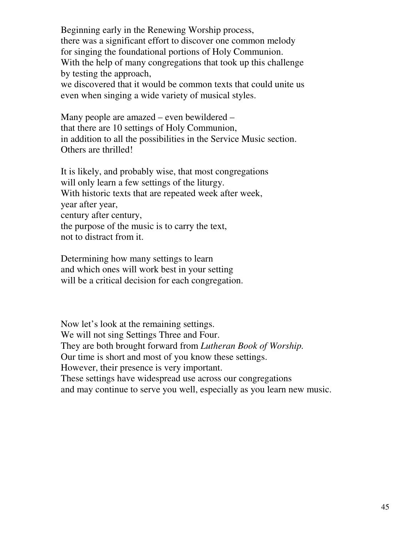Beginning early in the Renewing Worship process, there was a significant effort to discover one common melody for singing the foundational portions of Holy Communion. With the help of many congregations that took up this challenge by testing the approach, we discovered that it would be common texts that could unite us

even when singing a wide variety of musical styles.

Many people are amazed – even bewildered – that there are 10 settings of Holy Communion, in addition to all the possibilities in the Service Music section. Others are thrilled!

It is likely, and probably wise, that most congregations will only learn a few settings of the liturgy. With historic texts that are repeated week after week, year after year, century after century, the purpose of the music is to carry the text, not to distract from it.

Determining how many settings to learn and which ones will work best in your setting will be a critical decision for each congregation.

Now let's look at the remaining settings. We will not sing Settings Three and Four. They are both brought forward from *Lutheran Book of Worship.* Our time is short and most of you know these settings. However, their presence is very important. These settings have widespread use across our congregations and may continue to serve you well, especially as you learn new music.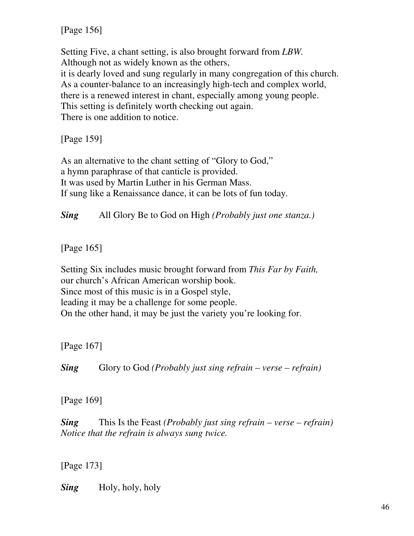[Page 156]

Setting Five, a chant setting, is also brought forward from *LBW.* Although not as widely known as the others, it is dearly loved and sung regularly in many congregation of this church. As a counter-balance to an increasingly high-tech and complex world, there is a renewed interest in chant, especially among young people. This setting is definitely worth checking out again. There is one addition to notice.

[Page 159]

As an alternative to the chant setting of "Glory to God," a hymn paraphrase of that canticle is provided. It was used by Martin Luther in his German Mass. If sung like a Renaissance dance, it can be lots of fun today.

*Sing* All Glory Be to God on High *(Probably just one stanza.)*

[Page 165]

Setting Six includes music brought forward from *This Far by Faith,* our church's African American worship book. Since most of this music is in a Gospel style, leading it may be a challenge for some people. On the other hand, it may be just the variety you're looking for.

[Page 167]

*Sing* Glory to God *(Probably just sing refrain – verse – refrain)*

[Page 169]

*Sing* This Is the Feast *(Probably just sing refrain – verse – refrain) Notice that the refrain is always sung twice.*

[Page 173]

*Sing* Holy, holy, holy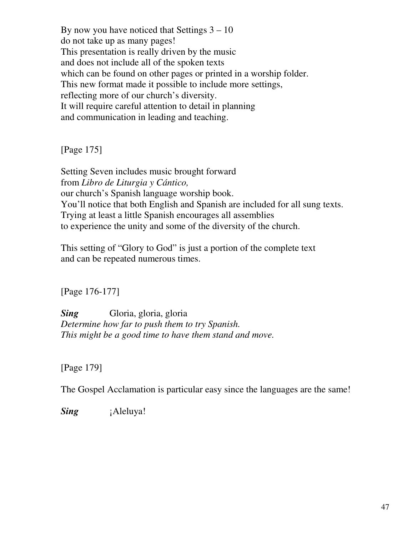By now you have noticed that Settings  $3 - 10$ do not take up as many pages! This presentation is really driven by the music and does not include all of the spoken texts which can be found on other pages or printed in a worship folder. This new format made it possible to include more settings, reflecting more of our church's diversity. It will require careful attention to detail in planning and communication in leading and teaching.

[Page 175]

Setting Seven includes music brought forward from *Libro de Liturgia y Cántico,* our church's Spanish language worship book. You'll notice that both English and Spanish are included for all sung texts. Trying at least a little Spanish encourages all assemblies to experience the unity and some of the diversity of the church.

This setting of "Glory to God" is just a portion of the complete text and can be repeated numerous times.

[Page 176-177]

*Sing* Gloria, gloria, gloria *Determine how far to push them to try Spanish. This might be a good time to have them stand and move.*

[Page 179]

The Gospel Acclamation is particular easy since the languages are the same!

*Sing iAleluya!*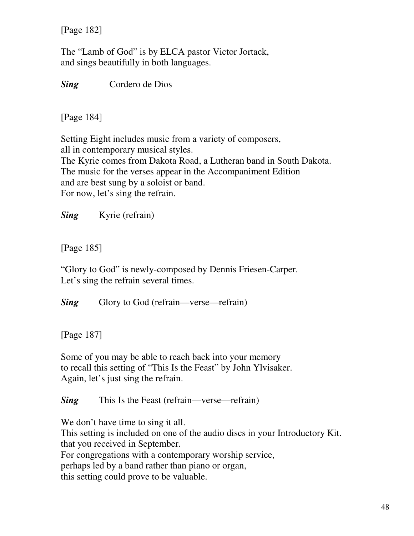[Page 182]

The "Lamb of God" is by ELCA pastor Victor Jortack, and sings beautifully in both languages.

*Sing* Cordero de Dios

[Page 184]

Setting Eight includes music from a variety of composers, all in contemporary musical styles. The Kyrie comes from Dakota Road, a Lutheran band in South Dakota. The music for the verses appear in the Accompaniment Edition and are best sung by a soloist or band. For now, let's sing the refrain.

*Sing* Kyrie (refrain)

[Page 185]

"Glory to God" is newly-composed by Dennis Friesen-Carper. Let's sing the refrain several times.

*Sing* Glory to God (refrain—verse—refrain)

[Page 187]

Some of you may be able to reach back into your memory to recall this setting of "This Is the Feast" by John Ylvisaker. Again, let's just sing the refrain.

*Sing* This Is the Feast (refrain—verse—refrain)

We don't have time to sing it all. This setting is included on one of the audio discs in your Introductory Kit. that you received in September. For congregations with a contemporary worship service, perhaps led by a band rather than piano or organ, this setting could prove to be valuable.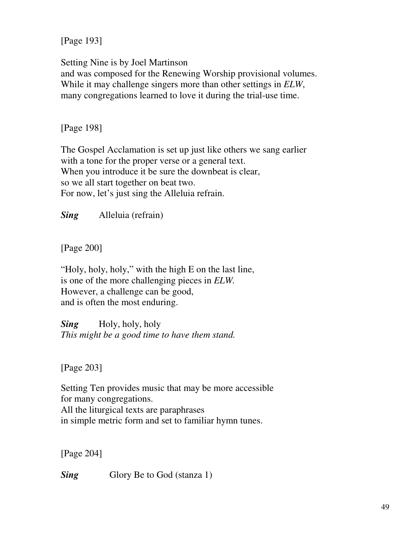[Page 193]

Setting Nine is by Joel Martinson and was composed for the Renewing Worship provisional volumes. While it may challenge singers more than other settings in *ELW*, many congregations learned to love it during the trial-use time.

[Page 198]

The Gospel Acclamation is set up just like others we sang earlier with a tone for the proper verse or a general text. When you introduce it be sure the downbeat is clear, so we all start together on beat two. For now, let's just sing the Alleluia refrain.

*Sing* Alleluia (refrain)

[Page 200]

"Holy, holy, holy," with the high E on the last line, is one of the more challenging pieces in *ELW.* However, a challenge can be good, and is often the most enduring.

*Sing* Holy, holy, holy *This might be a good time to have them stand.*

[Page 203]

Setting Ten provides music that may be more accessible for many congregations. All the liturgical texts are paraphrases in simple metric form and set to familiar hymn tunes.

[Page 204]

*Sing* Glory Be to God (stanza 1)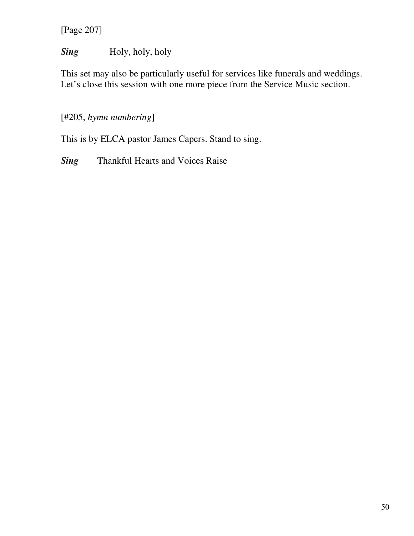[Page 207]

# *Sing* Holy, holy, holy

This set may also be particularly useful for services like funerals and weddings. Let's close this session with one more piece from the Service Music section.

## [#205, *hymn numbering*]

This is by ELCA pastor James Capers. Stand to sing.

**Sing** Thankful Hearts and Voices Raise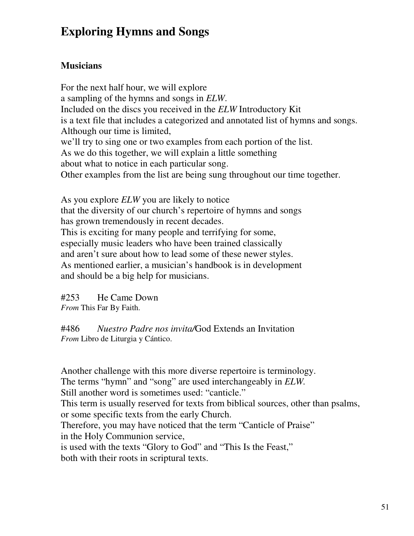# **Exploring Hymns and Songs**

# **Musicians**

For the next half hour, we will explore a sampling of the hymns and songs in *ELW*. Included on the discs you received in the *ELW* Introductory Kit is a text file that includes a categorized and annotated list of hymns and songs. Although our time is limited, we'll try to sing one or two examples from each portion of the list. As we do this together, we will explain a little something about what to notice in each particular song. Other examples from the list are being sung throughout our time together.

As you explore *ELW* you are likely to notice that the diversity of our church's repertoire of hymns and songs has grown tremendously in recent decades. This is exciting for many people and terrifying for some, especially music leaders who have been trained classically and aren't sure about how to lead some of these newer styles. As mentioned earlier, a musician's handbook is in development and should be a big help for musicians.

#253 He Came Down *From* This Far By Faith.

#486 *Nuestro Padre nos invita/*God Extends an Invitation *From* Libro de Liturgia y Cántico.

Another challenge with this more diverse repertoire is terminology. The terms "hymn" and "song" are used interchangeably in *ELW.* Still another word is sometimes used: "canticle." This term is usually reserved for texts from biblical sources, other than psalms, or some specific texts from the early Church. Therefore, you may have noticed that the term "Canticle of Praise" in the Holy Communion service, is used with the texts "Glory to God" and "This Is the Feast," both with their roots in scriptural texts.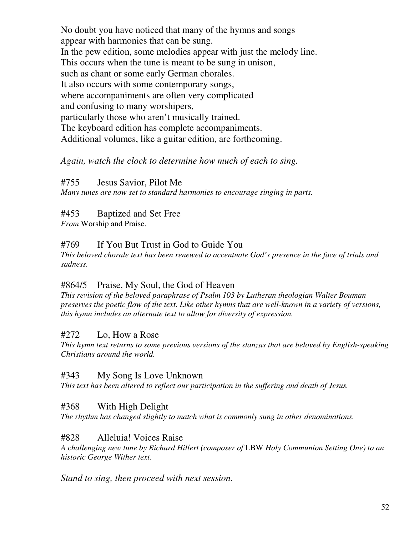No doubt you have noticed that many of the hymns and songs appear with harmonies that can be sung. In the pew edition, some melodies appear with just the melody line. This occurs when the tune is meant to be sung in unison, such as chant or some early German chorales. It also occurs with some contemporary songs, where accompaniments are often very complicated and confusing to many worshipers, particularly those who aren't musically trained. The keyboard edition has complete accompaniments. Additional volumes, like a guitar edition, are forthcoming.

#### *Again, watch the clock to determine how much of each to sing.*

#755 Jesus Savior, Pilot Me

*Many tunes are now set to standard harmonies to encourage singing in parts.*

### #453 Baptized and Set Free

*From* Worship and Praise.

#### #769 If You But Trust in God to Guide You

*This beloved chorale text has been renewed to accentuate God's presence in the face of trials and sadness.*

#### #864/5 Praise, My Soul, the God of Heaven

*This revision of the beloved paraphrase of Psalm 103 by Lutheran theologian Walter Bouman* preserves the poetic flow of the text. Like other hymns that are well-known in a variety of versions, *this hymn includes an alternate text to allow for diversity of expression.*

#### #272 Lo, How a Rose

*This hymn text returns to some previous versions of the stanzas that are beloved by English-speaking Christians around the world.*

### #343 My Song Is Love Unknown

*This text has been altered to reflect our participation in the suffering and death of Jesus.*

#### #368 With High Delight

*The rhythm has changed slightly to match what is commonly sung in other denominations.*

#### #828 Alleluia! Voices Raise

*A challenging new tune by Richard Hillert (composer of* LBW *Holy Communion Setting One) to an historic George Wither text.*

*Stand to sing, then proceed with next session.*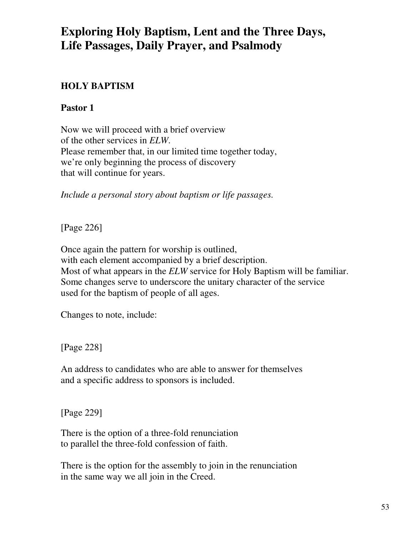# **Exploring Holy Baptism, Lent and the Three Days, Life Passages, Daily Prayer, and Psalmody**

# **HOLY BAPTISM**

# **Pastor 1**

Now we will proceed with a brief overview of the other services in *ELW*. Please remember that, in our limited time together today, we're only beginning the process of discovery that will continue for years.

*Include a personal story about baptism or life passages.*

[Page 226]

Once again the pattern for worship is outlined, with each element accompanied by a brief description. Most of what appears in the *ELW* service for Holy Baptism will be familiar. Some changes serve to underscore the unitary character of the service used for the baptism of people of all ages.

Changes to note, include:

[Page 228]

An address to candidates who are able to answer for themselves and a specific address to sponsors is included.

[Page 229]

There is the option of a three-fold renunciation to parallel the three-fold confession of faith.

There is the option for the assembly to join in the renunciation in the same way we all join in the Creed.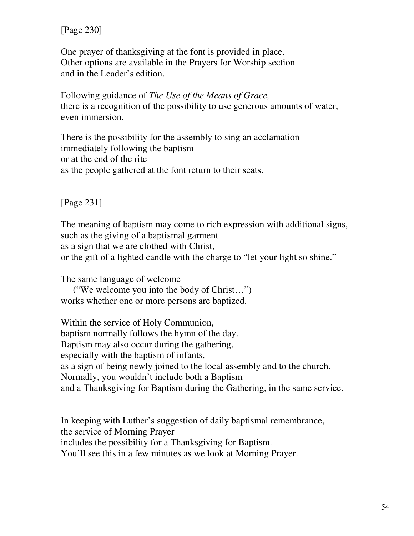[Page 230]

One prayer of thanksgiving at the font is provided in place. Other options are available in the Prayers for Worship section and in the Leader's edition.

Following guidance of *The Use of the Means of Grace,* there is a recognition of the possibility to use generous amounts of water, even immersion.

There is the possibility for the assembly to sing an acclamation immediately following the baptism or at the end of the rite as the people gathered at the font return to their seats.

[Page 231]

The meaning of baptism may come to rich expression with additional signs, such as the giving of a baptismal garment as a sign that we are clothed with Christ, or the gift of a lighted candle with the charge to "let your light so shine."

The same language of welcome

("We welcome you into the body of Christ…") works whether one or more persons are baptized.

Within the service of Holy Communion, baptism normally follows the hymn of the day. Baptism may also occur during the gathering, especially with the baptism of infants, as a sign of being newly joined to the local assembly and to the church. Normally, you wouldn't include both a Baptism and a Thanksgiving for Baptism during the Gathering, in the same service.

In keeping with Luther's suggestion of daily baptismal remembrance, the service of Morning Prayer includes the possibility for a Thanksgiving for Baptism. You'll see this in a few minutes as we look at Morning Prayer.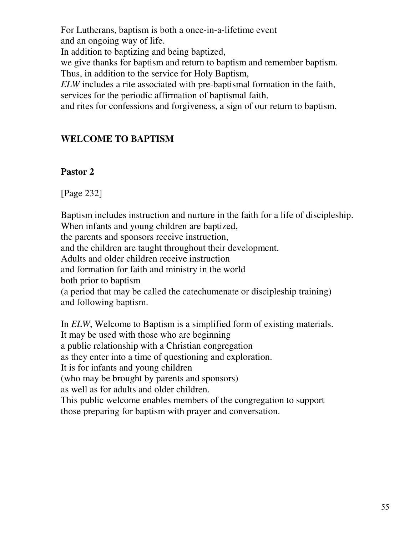For Lutherans, baptism is both a once-in-a-lifetime event and an ongoing way of life.

In addition to baptizing and being baptized,

we give thanks for baptism and return to baptism and remember baptism. Thus, in addition to the service for Holy Baptism,

*ELW* includes a rite associated with pre-baptismal formation in the faith, services for the periodic affirmation of baptismal faith,

and rites for confessions and forgiveness, a sign of our return to baptism.

# **WELCOME TO BAPTISM**

### **Pastor 2**

[Page 232]

Baptism includes instruction and nurture in the faith for a life of discipleship. When infants and young children are baptized, the parents and sponsors receive instruction, and the children are taught throughout their development. Adults and older children receive instruction and formation for faith and ministry in the world both prior to baptism (a period that may be called the catechumenate or discipleship training) and following baptism.

In *ELW*, Welcome to Baptism is a simplified form of existing materials. It may be used with those who are beginning a public relationship with a Christian congregation as they enter into a time of questioning and exploration. It is for infants and young children (who may be brought by parents and sponsors) as well as for adults and older children. This public welcome enables members of the congregation to support those preparing for baptism with prayer and conversation.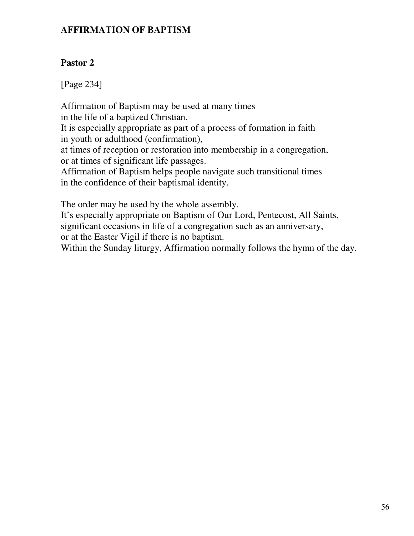### **AFFIRMATION OF BAPTISM**

# **Pastor 2**

[Page 234]

Affirmation of Baptism may be used at many times in the life of a baptized Christian. It is especially appropriate as part of a process of formation in faith in youth or adulthood (confirmation), at times of reception or restoration into membership in a congregation, or at times of significant life passages. Affirmation of Baptism helps people navigate such transitional times in the confidence of their baptismal identity.

The order may be used by the whole assembly.

It's especially appropriate on Baptism of Our Lord, Pentecost, All Saints, significant occasions in life of a congregation such as an anniversary, or at the Easter Vigil if there is no baptism.

Within the Sunday liturgy, Affirmation normally follows the hymn of the day.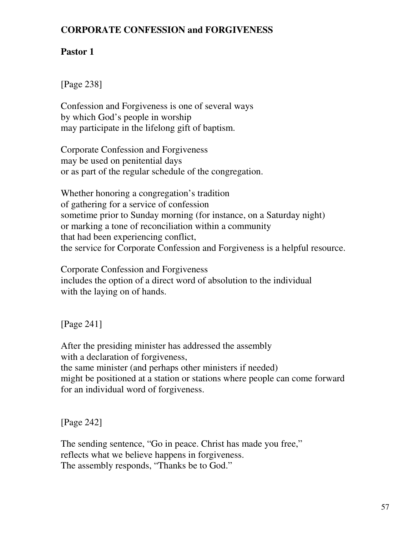## **CORPORATE CONFESSION and FORGIVENESS**

# **Pastor 1**

[Page 238]

Confession and Forgiveness is one of several ways by which God's people in worship may participate in the lifelong gift of baptism.

Corporate Confession and Forgiveness may be used on penitential days or as part of the regular schedule of the congregation.

Whether honoring a congregation's tradition of gathering for a service of confession sometime prior to Sunday morning (for instance, on a Saturday night) or marking a tone of reconciliation within a community that had been experiencing conflict, the service for Corporate Confession and Forgiveness is a helpful resource.

Corporate Confession and Forgiveness includes the option of a direct word of absolution to the individual with the laying on of hands.

[Page 241]

After the presiding minister has addressed the assembly with a declaration of forgiveness, the same minister (and perhaps other ministers if needed) might be positioned at a station or stations where people can come forward for an individual word of forgiveness.

[Page 242]

The sending sentence, "Go in peace. Christ has made you free," reflects what we believe happens in forgiveness. The assembly responds, "Thanks be to God."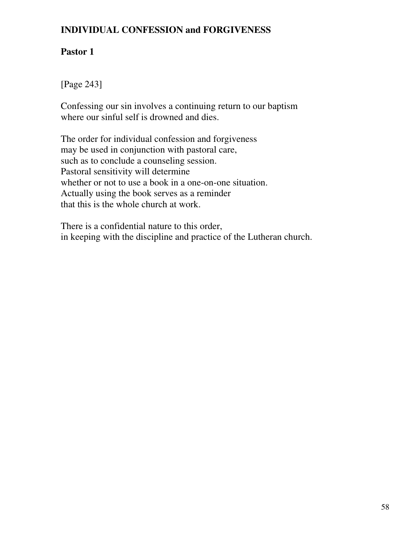## **INDIVIDUAL CONFESSION and FORGIVENESS**

# **Pastor 1**

[Page 243]

Confessing our sin involves a continuing return to our baptism where our sinful self is drowned and dies.

The order for individual confession and forgiveness may be used in conjunction with pastoral care, such as to conclude a counseling session. Pastoral sensitivity will determine whether or not to use a book in a one-on-one situation. Actually using the book serves as a reminder that this is the whole church at work.

There is a confidential nature to this order, in keeping with the discipline and practice of the Lutheran church.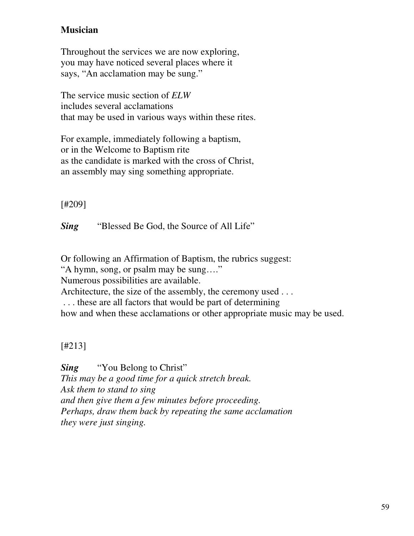# **Musician**

Throughout the services we are now exploring, you may have noticed several places where it says, "An acclamation may be sung."

The service music section of *ELW* includes several acclamations that may be used in various ways within these rites.

For example, immediately following a baptism, or in the Welcome to Baptism rite as the candidate is marked with the cross of Christ, an assembly may sing something appropriate.

[#209]

*Sing* "Blessed Be God, the Source of All Life"

Or following an Affirmation of Baptism, the rubrics suggest: "A hymn, song, or psalm may be sung…." Numerous possibilities are available. Architecture, the size of the assembly, the ceremony used ... . . . these are all factors that would be part of determining how and when these acclamations or other appropriate music may be used.

[#213]

*Sing* "You Belong to Christ" *This may be a good time for a quick stretch break. Ask them to stand to sing and then give them a few minutes before proceeding. Perhaps, draw them back by repeating the same acclamation they were just singing.*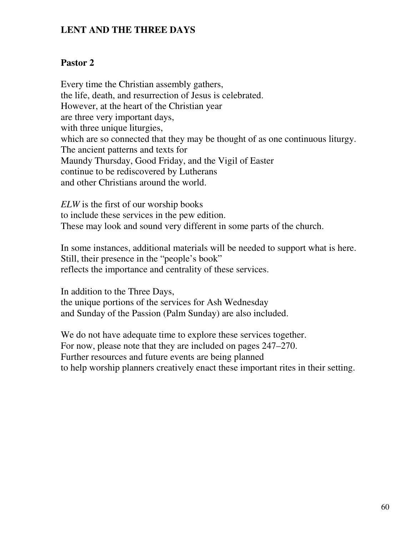### **LENT AND THE THREE DAYS**

#### **Pastor 2**

Every time the Christian assembly gathers, the life, death, and resurrection of Jesus is celebrated. However, at the heart of the Christian year are three very important days, with three unique liturgies, which are so connected that they may be thought of as one continuous liturgy. The ancient patterns and texts for Maundy Thursday, Good Friday, and the Vigil of Easter continue to be rediscovered by Lutherans and other Christians around the world.

*ELW* is the first of our worship books to include these services in the pew edition. These may look and sound very different in some parts of the church.

In some instances, additional materials will be needed to support what is here. Still, their presence in the "people's book" reflects the importance and centrality of these services.

In addition to the Three Days, the unique portions of the services for Ash Wednesday and Sunday of the Passion (Palm Sunday) are also included.

We do not have adequate time to explore these services together. For now, please note that they are included on pages 247–270. Further resources and future events are being planned to help worship planners creatively enact these important rites in their setting.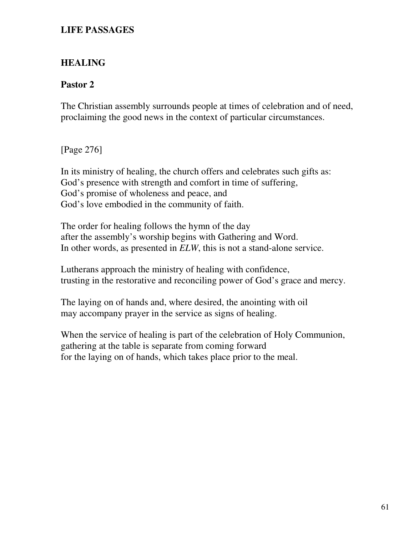### **LIFE PASSAGES**

## **HEALING**

### **Pastor 2**

The Christian assembly surrounds people at times of celebration and of need, proclaiming the good news in the context of particular circumstances.

[Page 276]

In its ministry of healing, the church offers and celebrates such gifts as: God's presence with strength and comfort in time of suffering, God's promise of wholeness and peace, and God's love embodied in the community of faith.

The order for healing follows the hymn of the day after the assembly's worship begins with Gathering and Word. In other words, as presented in *ELW*, this is not a stand-alone service.

Lutherans approach the ministry of healing with confidence, trusting in the restorative and reconciling power of God's grace and mercy.

The laying on of hands and, where desired, the anointing with oil may accompany prayer in the service as signs of healing.

When the service of healing is part of the celebration of Holy Communion, gathering at the table is separate from coming forward for the laying on of hands, which takes place prior to the meal.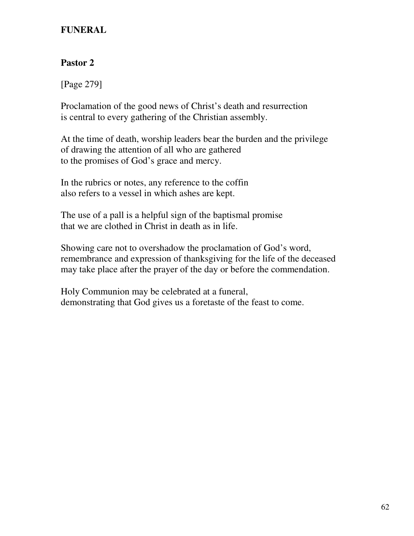## **FUNERAL**

# **Pastor 2**

[Page 279]

Proclamation of the good news of Christ's death and resurrection is central to every gathering of the Christian assembly.

At the time of death, worship leaders bear the burden and the privilege of drawing the attention of all who are gathered to the promises of God's grace and mercy.

In the rubrics or notes, any reference to the coffin also refers to a vessel in which ashes are kept.

The use of a pall is a helpful sign of the baptismal promise that we are clothed in Christ in death as in life.

Showing care not to overshadow the proclamation of God's word, remembrance and expression of thanksgiving for the life of the deceased may take place after the prayer of the day or before the commendation.

Holy Communion may be celebrated at a funeral, demonstrating that God gives us a foretaste of the feast to come.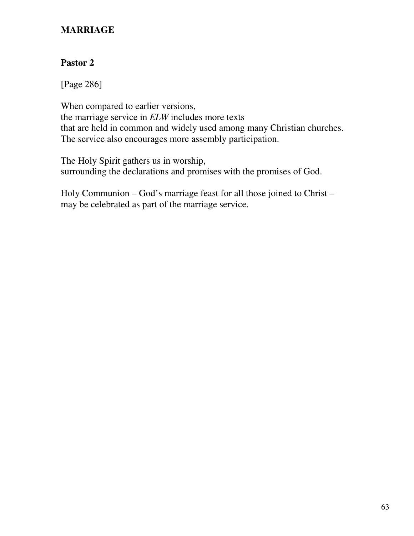## **MARRIAGE**

## **Pastor 2**

[Page 286]

When compared to earlier versions, the marriage service in *ELW* includes more texts that are held in common and widely used among many Christian churches. The service also encourages more assembly participation.

The Holy Spirit gathers us in worship, surrounding the declarations and promises with the promises of God.

Holy Communion – God's marriage feast for all those joined to Christ – may be celebrated as part of the marriage service.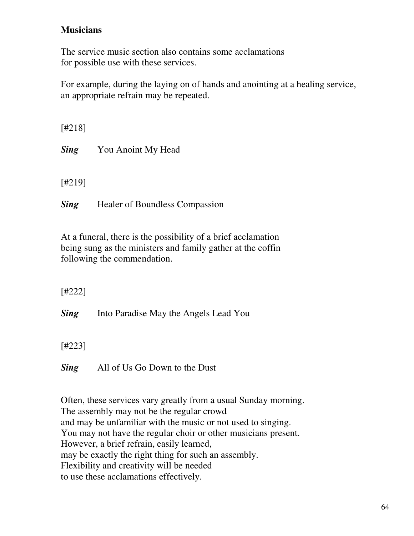## **Musicians**

The service music section also contains some acclamations for possible use with these services.

For example, during the laying on of hands and anointing at a healing service, an appropriate refrain may be repeated.

[#218] *Sing* You Anoint My Head [#219]

**Sing** Healer of Boundless Compassion

At a funeral, there is the possibility of a brief acclamation being sung as the ministers and family gather at the coffin following the commendation.

[#222]

**Sing** Into Paradise May the Angels Lead You

[#223]

*Sing* All of Us Go Down to the Dust

Often, these services vary greatly from a usual Sunday morning. The assembly may not be the regular crowd and may be unfamiliar with the music or not used to singing. You may not have the regular choir or other musicians present. However, a brief refrain, easily learned, may be exactly the right thing for such an assembly. Flexibility and creativity will be needed to use these acclamations effectively.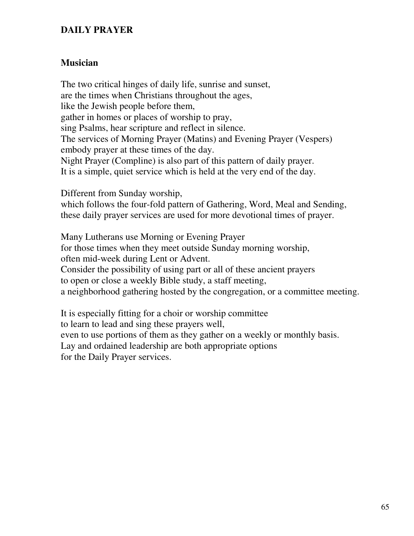## **DAILY PRAYER**

## **Musician**

The two critical hinges of daily life, sunrise and sunset, are the times when Christians throughout the ages, like the Jewish people before them, gather in homes or places of worship to pray, sing Psalms, hear scripture and reflect in silence. The services of Morning Prayer (Matins) and Evening Prayer (Vespers) embody prayer at these times of the day. Night Prayer (Compline) is also part of this pattern of daily prayer. It is a simple, quiet service which is held at the very end of the day.

Different from Sunday worship,

which follows the four-fold pattern of Gathering, Word, Meal and Sending, these daily prayer services are used for more devotional times of prayer.

Many Lutherans use Morning or Evening Prayer for those times when they meet outside Sunday morning worship, often mid-week during Lent or Advent. Consider the possibility of using part or all of these ancient prayers to open or close a weekly Bible study, a staff meeting, a neighborhood gathering hosted by the congregation, or a committee meeting.

It is especially fitting for a choir or worship committee to learn to lead and sing these prayers well, even to use portions of them as they gather on a weekly or monthly basis. Lay and ordained leadership are both appropriate options for the Daily Prayer services.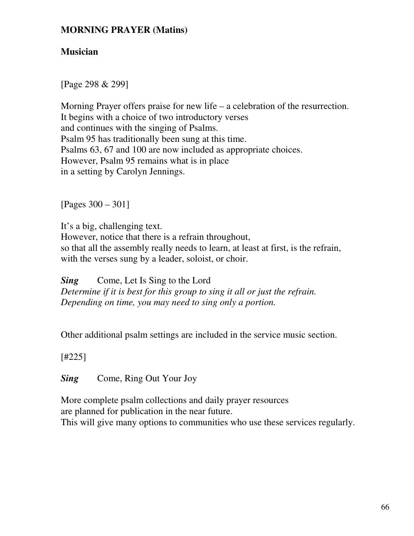### **MORNING PRAYER (Matins)**

### **Musician**

[Page 298 & 299]

Morning Prayer offers praise for new life – a celebration of the resurrection. It begins with a choice of two introductory verses and continues with the singing of Psalms. Psalm 95 has traditionally been sung at this time. Psalms 63, 67 and 100 are now included as appropriate choices. However, Psalm 95 remains what is in place in a setting by Carolyn Jennings.

[Pages 300 – 301]

It's a big, challenging text. However, notice that there is a refrain throughout, so that all the assembly really needs to learn, at least at first, is the refrain, with the verses sung by a leader, soloist, or choir.

*Sing* Come, Let Is Sing to the Lord *Determine if it is best for this group to sing it all or just the refrain. Depending on time, you may need to sing only a portion.*

Other additional psalm settings are included in the service music section.

[#225]

**Sing** Come, Ring Out Your Joy

More complete psalm collections and daily prayer resources are planned for publication in the near future. This will give many options to communities who use these services regularly.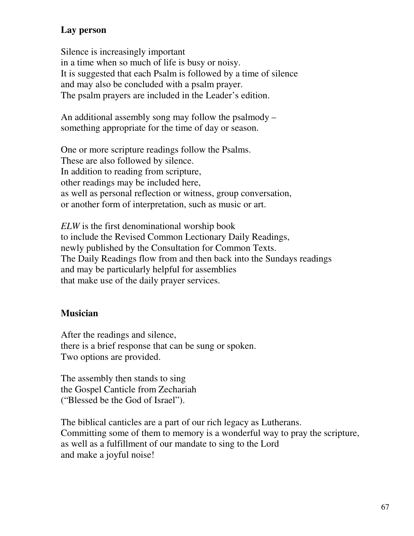# **Lay person**

Silence is increasingly important in a time when so much of life is busy or noisy. It is suggested that each Psalm is followed by a time of silence and may also be concluded with a psalm prayer. The psalm prayers are included in the Leader's edition.

An additional assembly song may follow the psalmody – something appropriate for the time of day or season.

One or more scripture readings follow the Psalms. These are also followed by silence. In addition to reading from scripture, other readings may be included here, as well as personal reflection or witness, group conversation, or another form of interpretation, such as music or art.

*ELW* is the first denominational worship book to include the Revised Common Lectionary Daily Readings, newly published by the Consultation for Common Texts. The Daily Readings flow from and then back into the Sundays readings and may be particularly helpful for assemblies that make use of the daily prayer services.

# **Musician**

After the readings and silence, there is a brief response that can be sung or spoken. Two options are provided.

The assembly then stands to sing the Gospel Canticle from Zechariah ("Blessed be the God of Israel").

The biblical canticles are a part of our rich legacy as Lutherans. Committing some of them to memory is a wonderful way to pray the scripture, as well as a fulfillment of our mandate to sing to the Lord and make a joyful noise!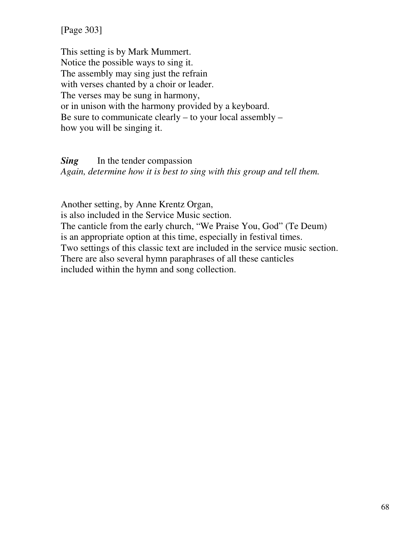[Page 303]

This setting is by Mark Mummert. Notice the possible ways to sing it. The assembly may sing just the refrain with verses chanted by a choir or leader. The verses may be sung in harmony, or in unison with the harmony provided by a keyboard. Be sure to communicate clearly – to your local assembly – how you will be singing it.

*Sing* In the tender compassion *Again, determine how it is best to sing with this group and tell them.*

Another setting, by Anne Krentz Organ, is also included in the Service Music section. The canticle from the early church, "We Praise You, God" (Te Deum) is an appropriate option at this time, especially in festival times. Two settings of this classic text are included in the service music section. There are also several hymn paraphrases of all these canticles included within the hymn and song collection.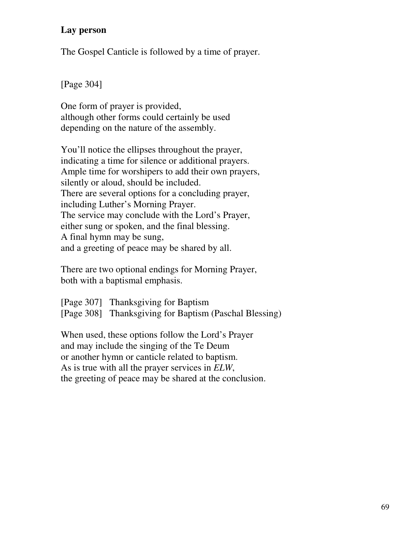## **Lay person**

The Gospel Canticle is followed by a time of prayer.

[Page 304]

One form of prayer is provided, although other forms could certainly be used depending on the nature of the assembly.

You'll notice the ellipses throughout the prayer, indicating a time for silence or additional prayers. Ample time for worshipers to add their own prayers, silently or aloud, should be included. There are several options for a concluding prayer, including Luther's Morning Prayer. The service may conclude with the Lord's Prayer, either sung or spoken, and the final blessing. A final hymn may be sung, and a greeting of peace may be shared by all.

There are two optional endings for Morning Prayer, both with a baptismal emphasis.

[Page 307] Thanksgiving for Baptism [Page 308] Thanksgiving for Baptism (Paschal Blessing)

When used, these options follow the Lord's Prayer and may include the singing of the Te Deum or another hymn or canticle related to baptism. As is true with all the prayer services in *ELW*, the greeting of peace may be shared at the conclusion.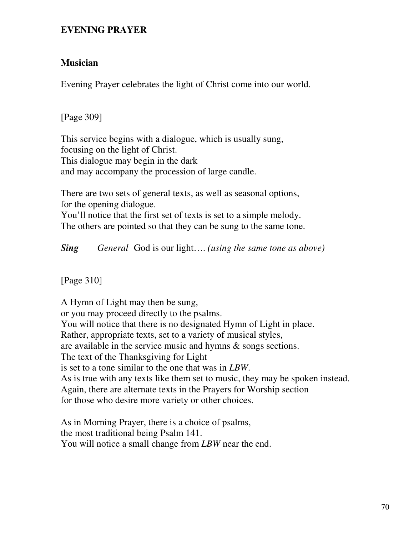#### **EVENING PRAYER**

### **Musician**

Evening Prayer celebrates the light of Christ come into our world.

[Page 309]

This service begins with a dialogue, which is usually sung, focusing on the light of Christ. This dialogue may begin in the dark and may accompany the procession of large candle.

There are two sets of general texts, as well as seasonal options, for the opening dialogue.

You'll notice that the first set of texts is set to a simple melody. The others are pointed so that they can be sung to the same tone.

*Sing General* God is our light…. *(using the same tone as above)*

[Page 310]

A Hymn of Light may then be sung, or you may proceed directly to the psalms. You will notice that there is no designated Hymn of Light in place. Rather, appropriate texts, set to a variety of musical styles, are available in the service music and hymns & songs sections. The text of the Thanksgiving for Light is set to a tone similar to the one that was in *LBW*. As is true with any texts like them set to music, they may be spoken instead. Again, there are alternate texts in the Prayers for Worship section for those who desire more variety or other choices.

As in Morning Prayer, there is a choice of psalms, the most traditional being Psalm 141. You will notice a small change from *LBW* near the end.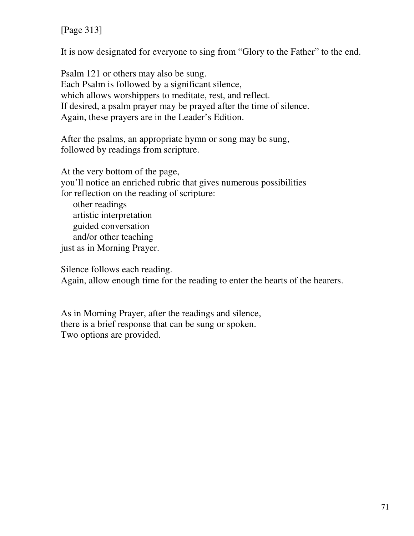[Page 313]

It is now designated for everyone to sing from "Glory to the Father" to the end.

Psalm 121 or others may also be sung. Each Psalm is followed by a significant silence, which allows worshippers to meditate, rest, and reflect. If desired, a psalm prayer may be prayed after the time of silence. Again, these prayers are in the Leader's Edition.

After the psalms, an appropriate hymn or song may be sung, followed by readings from scripture.

At the very bottom of the page, you'll notice an enriched rubric that gives numerous possibilities for reflection on the reading of scripture: other readings artistic interpretation guided conversation and/or other teaching just as in Morning Prayer.

Silence follows each reading.

Again, allow enough time for the reading to enter the hearts of the hearers.

As in Morning Prayer, after the readings and silence, there is a brief response that can be sung or spoken. Two options are provided.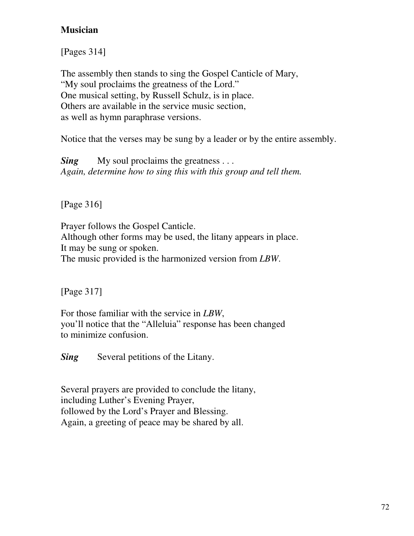# **Musician**

[Pages 314]

The assembly then stands to sing the Gospel Canticle of Mary, "My soul proclaims the greatness of the Lord." One musical setting, by Russell Schulz, is in place. Others are available in the service music section, as well as hymn paraphrase versions.

Notice that the verses may be sung by a leader or by the entire assembly.

*Sing* My soul proclaims the greatness ... *Again, determine how to sing this with this group and tell them.*

[Page 316]

Prayer follows the Gospel Canticle. Although other forms may be used, the litany appears in place. It may be sung or spoken. The music provided is the harmonized version from *LBW*.

[Page 317]

For those familiar with the service in *LBW*, you'll notice that the "Alleluia" response has been changed to minimize confusion.

**Sing** Several petitions of the Litany.

Several prayers are provided to conclude the litany, including Luther's Evening Prayer, followed by the Lord's Prayer and Blessing. Again, a greeting of peace may be shared by all.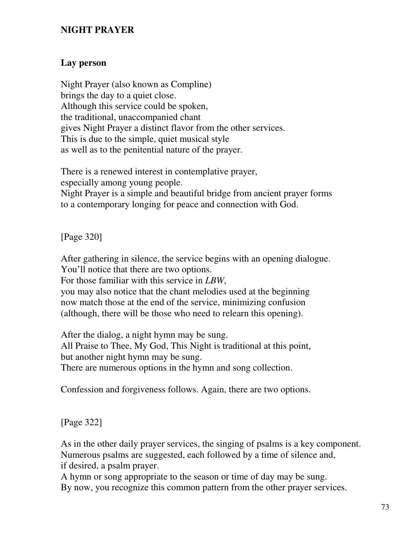#### **NIGHT PRAYER**

#### **Lay person**

Night Prayer (also known as Compline) brings the day to a quiet close. Although this service could be spoken, the traditional, unaccompanied chant gives Night Prayer a distinct flavor from the other services. This is due to the simple, quiet musical style as well as to the penitential nature of the prayer.

There is a renewed interest in contemplative prayer, especially among young people. Night Prayer is a simple and beautiful bridge from ancient prayer forms to a contemporary longing for peace and connection with God.

[Page 320]

After gathering in silence, the service begins with an opening dialogue. You'll notice that there are two options. For those familiar with this service in *LBW*,

you may also notice that the chant melodies used at the beginning now match those at the end of the service, minimizing confusion (although, there will be those who need to relearn this opening).

After the dialog, a night hymn may be sung. All Praise to Thee, My God, This Night is traditional at this point, but another night hymn may be sung. There are numerous options in the hymn and song collection.

Confession and forgiveness follows. Again, there are two options.

[Page 322]

As in the other daily prayer services, the singing of psalms is a key component. Numerous psalms are suggested, each followed by a time of silence and, if desired, a psalm prayer.

A hymn or song appropriate to the season or time of day may be sung. By now, you recognize this common pattern from the other prayer services.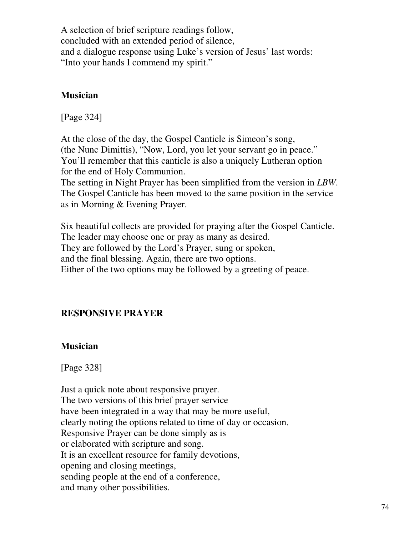A selection of brief scripture readings follow, concluded with an extended period of silence, and a dialogue response using Luke's version of Jesus' last words: "Into your hands I commend my spirit."

#### **Musician**

[Page 324]

At the close of the day, the Gospel Canticle is Simeon's song, (the Nunc Dimittis), "Now, Lord, you let your servant go in peace." You'll remember that this canticle is also a uniquely Lutheran option for the end of Holy Communion.

The setting in Night Prayer has been simplified from the version in *LBW*. The Gospel Canticle has been moved to the same position in the service as in Morning & Evening Prayer.

Six beautiful collects are provided for praying after the Gospel Canticle. The leader may choose one or pray as many as desired. They are followed by the Lord's Prayer, sung or spoken, and the final blessing. Again, there are two options. Either of the two options may be followed by a greeting of peace.

## **RESPONSIVE PRAYER**

#### **Musician**

[Page 328]

Just a quick note about responsive prayer. The two versions of this brief prayer service have been integrated in a way that may be more useful, clearly noting the options related to time of day or occasion. Responsive Prayer can be done simply as is or elaborated with scripture and song. It is an excellent resource for family devotions, opening and closing meetings, sending people at the end of a conference, and many other possibilities.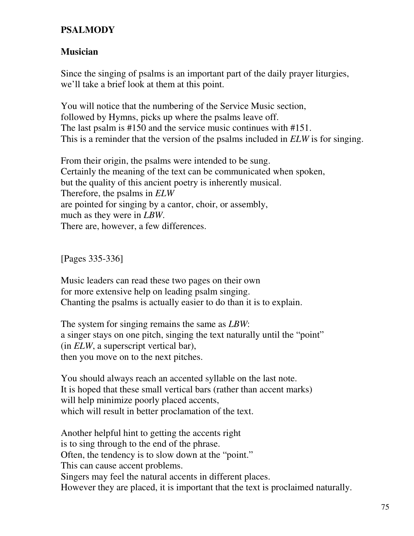#### **PSALMODY**

#### **Musician**

Since the singing of psalms is an important part of the daily prayer liturgies, we'll take a brief look at them at this point.

You will notice that the numbering of the Service Music section, followed by Hymns, picks up where the psalms leave off. The last psalm is #150 and the service music continues with #151. This is a reminder that the version of the psalms included in *ELW* is for singing.

From their origin, the psalms were intended to be sung. Certainly the meaning of the text can be communicated when spoken, but the quality of this ancient poetry is inherently musical. Therefore, the psalms in *ELW* are pointed for singing by a cantor, choir, or assembly, much as they were in *LBW*. There are, however, a few differences.

[Pages 335-336]

Music leaders can read these two pages on their own for more extensive help on leading psalm singing. Chanting the psalms is actually easier to do than it is to explain.

The system for singing remains the same as *LBW*: a singer stays on one pitch, singing the text naturally until the "point" (in *ELW*, a superscript vertical bar), then you move on to the next pitches.

You should always reach an accented syllable on the last note. It is hoped that these small vertical bars (rather than accent marks) will help minimize poorly placed accents, which will result in better proclamation of the text.

Another helpful hint to getting the accents right is to sing through to the end of the phrase. Often, the tendency is to slow down at the "point." This can cause accent problems. Singers may feel the natural accents in different places. However they are placed, it is important that the text is proclaimed naturally.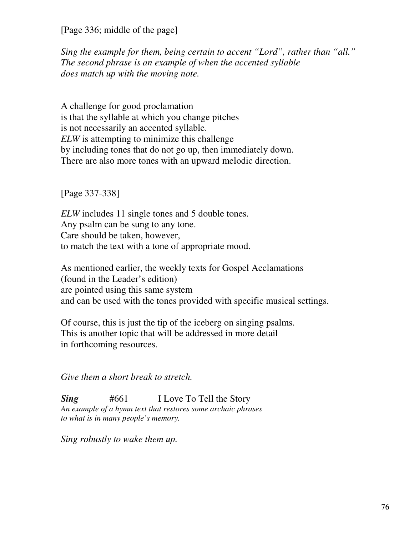[Page 336; middle of the page]

*Sing the example for them, being certain to accent "Lord", rather than "all." The second phrase is an example of when the accented syllable does match up with the moving note.*

A challenge for good proclamation is that the syllable at which you change pitches is not necessarily an accented syllable. *ELW* is attempting to minimize this challenge by including tones that do not go up, then immediately down. There are also more tones with an upward melodic direction.

[Page 337-338]

*ELW* includes 11 single tones and 5 double tones. Any psalm can be sung to any tone. Care should be taken, however, to match the text with a tone of appropriate mood.

As mentioned earlier, the weekly texts for Gospel Acclamations (found in the Leader's edition) are pointed using this same system and can be used with the tones provided with specific musical settings.

Of course, this is just the tip of the iceberg on singing psalms. This is another topic that will be addressed in more detail in forthcoming resources.

*Give them a short break to stretch.*

*Sing* #661 I Love To Tell the Story *An example of a hymn text that restores some archaic phrases to what is in many people's memory.*

*Sing robustly to wake them up.*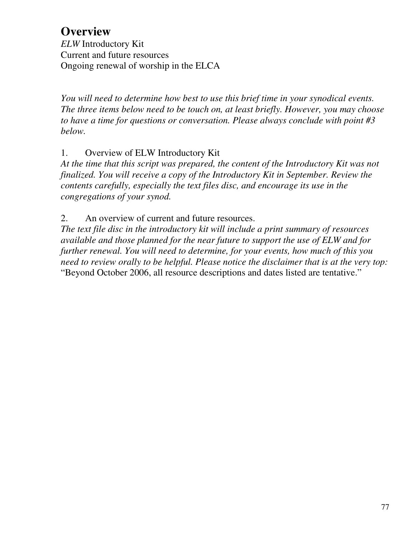# **Overview**

*ELW* Introductory Kit Current and future resources Ongoing renewal of worship in the ELCA

*You will need to determine how best to use this brief time in your synodical events. The three items below need to be touch on, at least briefly. However, you may choose to have a time for questions or conversation. Please always conclude with point #3 below.*

### 1. Overview of ELW Introductory Kit

*At the time that this script was prepared, the content of the Introductory Kit was not finalized. You will receive a copy of the Introductory Kit in September. Review the contents carefully, especially the text files disc, and encourage its use in the congregations of your synod.*

2. An overview of current and future resources.

*The text file disc in the introductory kit will include a print summary of resources available and those planned for the near future to support the use of ELW and for further renewal. You will need to determine, for your events, how much of this you need to review orally to be helpful. Please notice the disclaimer that is at the very top:* "Beyond October 2006, all resource descriptions and dates listed are tentative."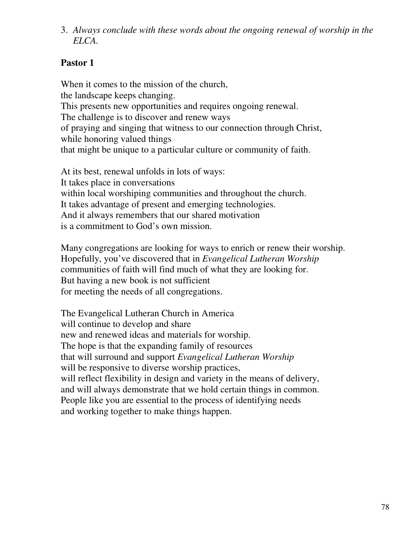3. *Always conclude with these words about the ongoing renewal of worship in the ELCA.*

# **Pastor 1**

When it comes to the mission of the church, the landscape keeps changing. This presents new opportunities and requires ongoing renewal. The challenge is to discover and renew ways of praying and singing that witness to our connection through Christ, while honoring valued things that might be unique to a particular culture or community of faith.

At its best, renewal unfolds in lots of ways: It takes place in conversations within local worshiping communities and throughout the church. It takes advantage of present and emerging technologies. And it always remembers that our shared motivation is a commitment to God's own mission.

Many congregations are looking for ways to enrich or renew their worship. Hopefully, you've discovered that in *Evangelical Lutheran Worship* communities of faith will find much of what they are looking for. But having a new book is not sufficient for meeting the needs of all congregations.

The Evangelical Lutheran Church in America will continue to develop and share new and renewed ideas and materials for worship. The hope is that the expanding family of resources that will surround and support *Evangelical Lutheran Worship* will be responsive to diverse worship practices, will reflect flexibility in design and variety in the means of delivery, and will always demonstrate that we hold certain things in common. People like you are essential to the process of identifying needs and working together to make things happen.